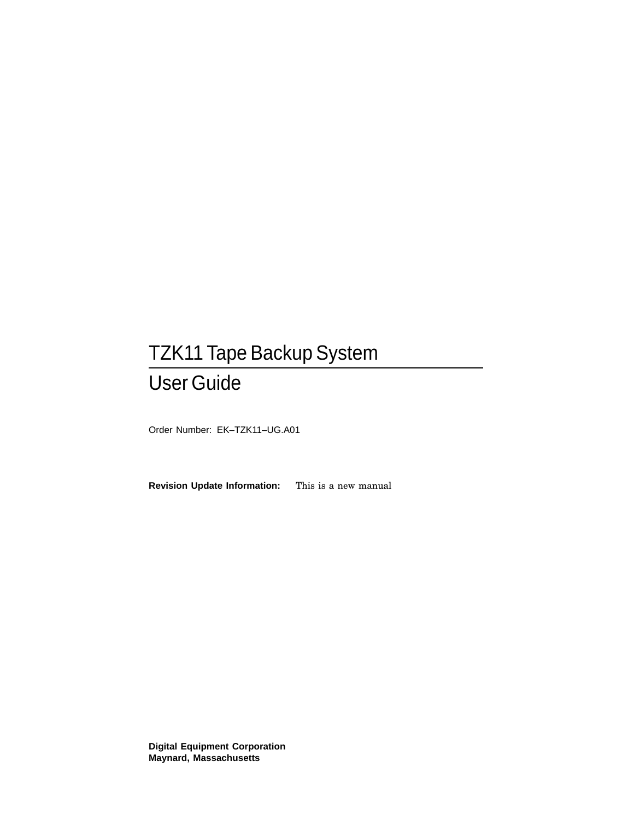# TZK11 Tape Backup System User Guide

Order Number: EK–TZK11–UG.A01

**Revision Update Information:** This is a new manual

**Digital Equipment Corporation Maynard, Massachusetts**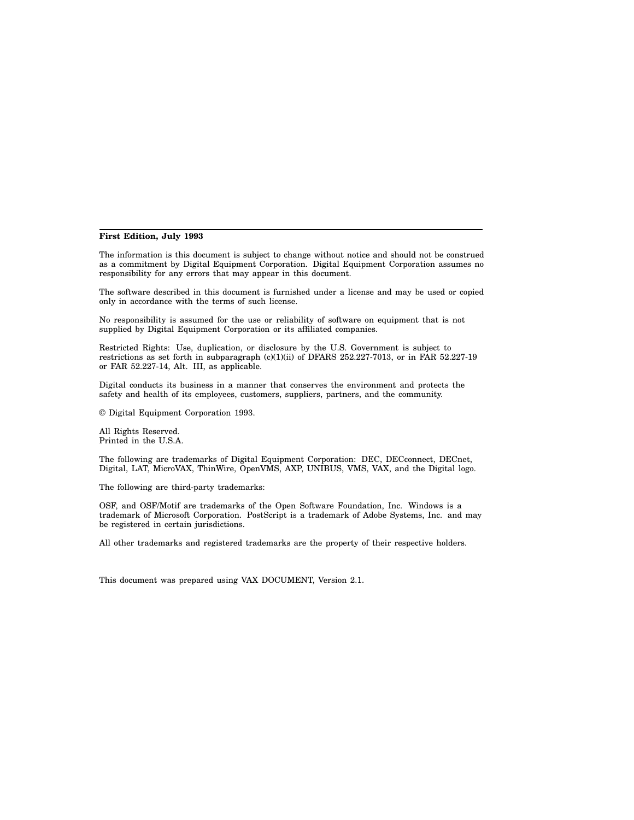#### **First Edition, July 1993**

The information is this document is subject to change without notice and should not be construed as a commitment by Digital Equipment Corporation. Digital Equipment Corporation assumes no responsibility for any errors that may appear in this document.

The software described in this document is furnished under a license and may be used or copied only in accordance with the terms of such license.

No responsibility is assumed for the use or reliability of software on equipment that is not supplied by Digital Equipment Corporation or its affiliated companies.

Restricted Rights: Use, duplication, or disclosure by the U.S. Government is subject to restrictions as set forth in subparagraph (c)(1)(ii) of DFARS 252.227-7013, or in FAR 52.227-19 or FAR 52.227-14, Alt. III, as applicable.

Digital conducts its business in a manner that conserves the environment and protects the safety and health of its employees, customers, suppliers, partners, and the community.

© Digital Equipment Corporation 1993.

All Rights Reserved. Printed in the U.S.A.

The following are trademarks of Digital Equipment Corporation: DEC, DECconnect, DECnet, Digital, LAT, MicroVAX, ThinWire, OpenVMS, AXP, UNIBUS, VMS, VAX, and the Digital logo.

The following are third-party trademarks:

OSF, and OSF/Motif are trademarks of the Open Software Foundation, Inc. Windows is a trademark of Microsoft Corporation. PostScript is a trademark of Adobe Systems, Inc. and may be registered in certain jurisdictions.

All other trademarks and registered trademarks are the property of their respective holders.

This document was prepared using VAX DOCUMENT, Version 2.1.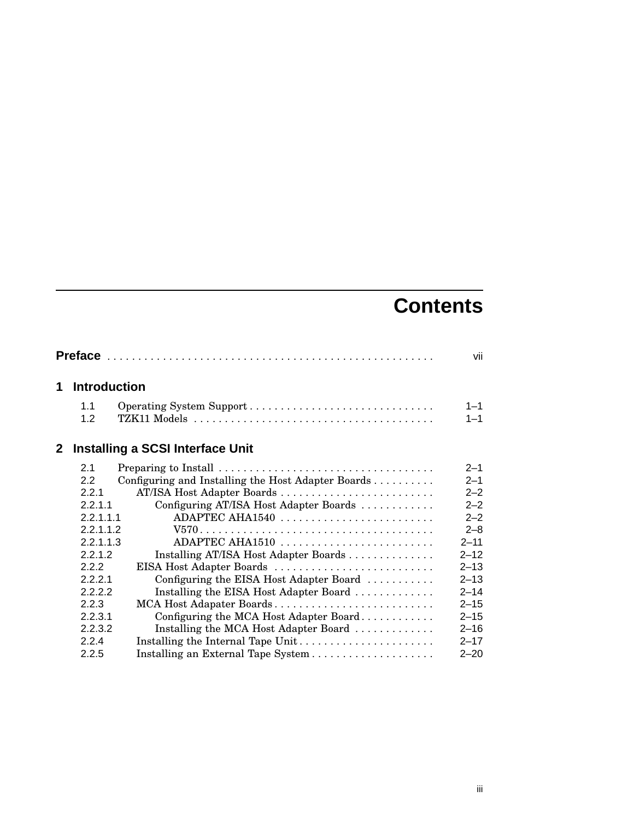# **Contents**

|              |                     |                                                    | vii      |
|--------------|---------------------|----------------------------------------------------|----------|
| 1            | <b>Introduction</b> |                                                    |          |
|              | 1.1                 |                                                    | $1 - 1$  |
|              | 1.2                 |                                                    | $1 - 1$  |
| $\mathbf{2}$ |                     | Installing a SCSI Interface Unit                   |          |
|              | 2.1                 |                                                    | $2 - 1$  |
|              | 2.2                 | Configuring and Installing the Host Adapter Boards | $2 - 1$  |
|              | 221                 | AT/ISA Host Adapter Boards                         | $2 - 2$  |
|              | 2.2.1.1             | Configuring AT/ISA Host Adapter Boards             | $2 - 2$  |
|              | 2.2.1.1.1           | ADAPTEC AHA1540                                    | $2 - 2$  |
|              | 2.2.1.1.2           |                                                    | $2 - 8$  |
|              | 2.2.1.1.3           | ADAPTEC AHA1510                                    | $2 - 11$ |
|              | 2.2.1.2             | Installing AT/ISA Host Adapter Boards              | $2 - 12$ |
|              | 2.2.2               | EISA Host Adapter Boards                           | $2 - 13$ |
|              | 2.2.2.1             | Configuring the EISA Host Adapter Board            | $2 - 13$ |
|              | 2.2.2.2             | Installing the EISA Host Adapter Board             | $2 - 14$ |
|              | 2.2.3               | MCA Host Adapater Boards                           | $2 - 15$ |
|              | 2.2.3.1             | Configuring the MCA Host Adapter Board             | $2 - 15$ |
|              | 2.2.3.2             | Installing the MCA Host Adapter Board              | $2 - 16$ |
|              | 2.2.4               | Installing the Internal Tape Unit                  | $2 - 17$ |
|              | 2.2.5               | Installing an External Tape System                 | $2 - 20$ |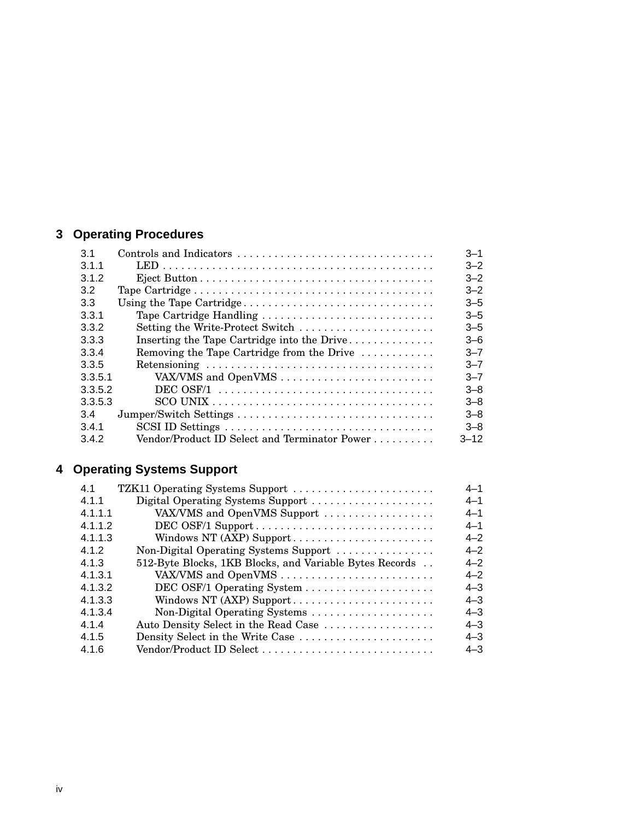# **3 Operating Procedures**

| 3.1     | Controls and Indicators                                                                         | $3 - 1$  |
|---------|-------------------------------------------------------------------------------------------------|----------|
| 3.1.1   |                                                                                                 | $3 - 2$  |
| 3.1.2   |                                                                                                 | $3 - 2$  |
| 3.2     |                                                                                                 | $3 - 2$  |
| 3.3     |                                                                                                 | $3 - 5$  |
| 3.3.1   | Tape Cartridge Handling                                                                         | $3 - 5$  |
| 3.3.2   | Setting the Write-Protect Switch                                                                | $3 - 5$  |
| 3.3.3   | Inserting the Tape Cartridge into the Drive                                                     | $3 - 6$  |
| 3.3.4   | Removing the Tape Cartridge from the Drive                                                      | $3 - 7$  |
| 3.3.5   |                                                                                                 | $3 - 7$  |
| 3.3.5.1 | VAX/VMS and OpenVMS                                                                             | $3 - 7$  |
| 3.3.5.2 | DEC OSF/1 $\ldots \ldots \ldots \ldots \ldots \ldots \ldots \ldots \ldots \ldots \ldots \ldots$ | $3 - 8$  |
| 3.3.5.3 |                                                                                                 | $3 - 8$  |
| 3.4     |                                                                                                 | $3 - 8$  |
| 3.4.1   |                                                                                                 | $3 - 8$  |
| 3.4.2   | Vendor/Product ID Select and Terminator Power                                                   | $3 - 12$ |

# **4 Operating Systems Support**

| 4.1     | TZK11 Operating Systems Support                         | $4 - 1$ |
|---------|---------------------------------------------------------|---------|
| 4.1.1   | Digital Operating Systems Support                       | $4 - 1$ |
| 4.1.1.1 | VAX/VMS and OpenVMS Support                             | $4 - 1$ |
| 4.1.1.2 |                                                         | $4 - 1$ |
| 4.1.1.3 | Windows NT (AXP) Support                                | $4 - 2$ |
| 4.1.2   | Non-Digital Operating Systems Support                   | $4 - 2$ |
| 4.1.3   | 512-Byte Blocks, 1KB Blocks, and Variable Bytes Records | $4 - 2$ |
| 4.1.3.1 |                                                         | $4 - 2$ |
| 4.1.3.2 |                                                         | $4 - 3$ |
| 4.1.3.3 | Windows NT (AXP) Support                                | $4 - 3$ |
| 4.1.3.4 | Non-Digital Operating Systems                           | $4 - 3$ |
| 4.1.4   | Auto Density Select in the Read Case                    | $4 - 3$ |
| 4.1.5   | Density Select in the Write Case                        | $4 - 3$ |
| 4.1.6   | Vendor/Product ID Select                                | $4 - 3$ |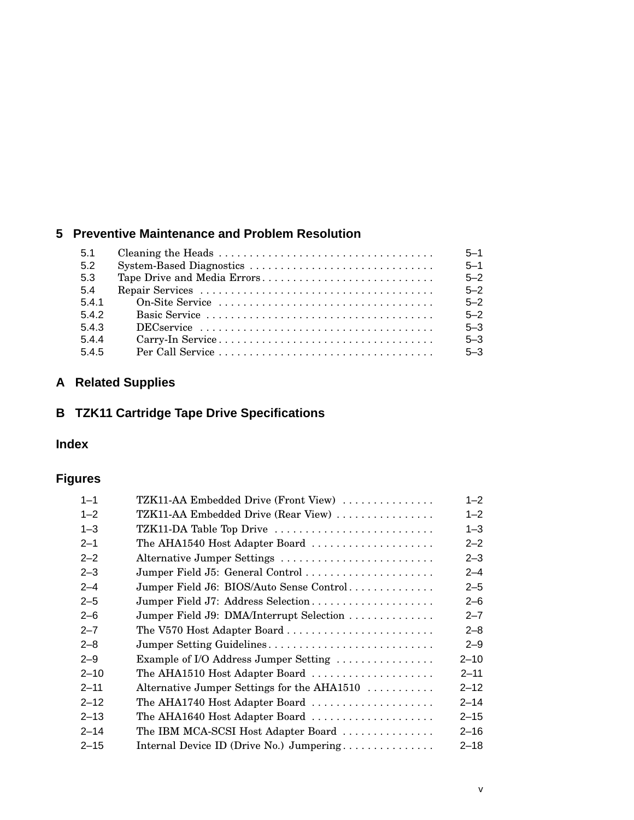# **5 Preventive Maintenance and Problem Resolution**

| 5.1   | $5 - 1$ |
|-------|---------|
| 5.2   | $5 - 1$ |
| -5.3  | $5 - 2$ |
| 5.4   | $5 - 2$ |
| 5.4.1 | $5 - 2$ |
| 5.4.2 | $5 - 2$ |
| 5.4.3 | $5 - 3$ |
| 5.4.4 | $5 - 3$ |
| 5.4.5 | $5 - 3$ |

# **A Related Supplies**

# **B TZK11 Cartridge Tape Drive Specifications**

## **Index**

# **Figures**

| $1 - 1$  | TZK11-AA Embedded Drive (Front View)        | $1 - 2$  |
|----------|---------------------------------------------|----------|
| $1 - 2$  | TZK11-AA Embedded Drive (Rear View)         | $1 - 2$  |
| $1 - 3$  | TZK11-DA Table Top Drive                    | $1 - 3$  |
| $2 - 1$  | The AHA1540 Host Adapter Board              | $2 - 2$  |
| $2 - 2$  | Alternative Jumper Settings                 | $2 - 3$  |
| $2 - 3$  | Jumper Field J5: General Control            | $2 - 4$  |
| $2 - 4$  | Jumper Field J6: BIOS/Auto Sense Control    | $2 - 5$  |
| $2 - 5$  | Jumper Field J7: Address Selection          | $2 - 6$  |
| $2 - 6$  | Jumper Field J9: DMA/Interrupt Selection    | $2 - 7$  |
| $2 - 7$  | The V570 Host Adapter Board                 | $2 - 8$  |
| $2 - 8$  | Jumper Setting Guidelines                   | $2 - 9$  |
| $2 - 9$  | Example of I/O Address Jumper Setting       | $2 - 10$ |
| $2 - 10$ | The AHA1510 Host Adapter Board              | $2 - 11$ |
| $2 - 11$ | Alternative Jumper Settings for the AHA1510 | $2 - 12$ |
| $2 - 12$ | The AHA1740 Host Adapter Board              | $2 - 14$ |
| $2 - 13$ | The AHA1640 Host Adapter Board              | $2 - 15$ |
| $2 - 14$ | The IBM MCA-SCSI Host Adapter Board         | $2 - 16$ |
| $2 - 15$ | Internal Device ID (Drive No.) Jumpering    | $2 - 18$ |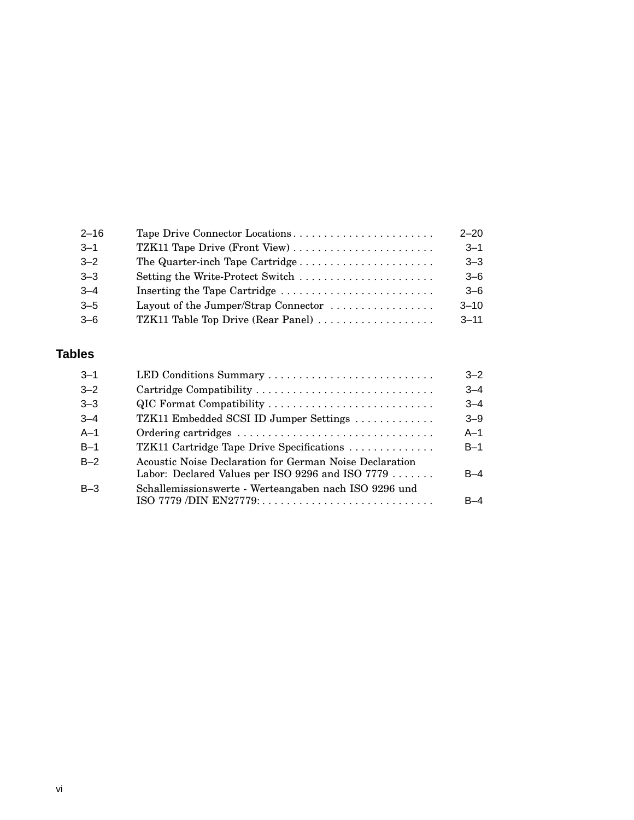| $2 - 16$ | Tape Drive Connector Locations                                        | $2 - 20$ |
|----------|-----------------------------------------------------------------------|----------|
| $3 - 1$  | TZK11 Tape Drive (Front View)                                         | $3 - 1$  |
| $3 - 2$  | The Quarter-inch Tape Cartridge                                       | $3 - 3$  |
| $3 - 3$  | Setting the Write-Protect Switch                                      | $3 - 6$  |
| $3 - 4$  |                                                                       | $-6$     |
| $3 - 5$  | Layout of the Jumper/Strap Connector $\dots\dots\dots\dots\dots\dots$ | $3 - 10$ |
| $3 - 6$  | TZK11 Table Top Drive (Rear Panel)                                    | $3 - 11$ |

## **Tables**

| $3 - 1$ | LED Conditions Summary                                                                                      | $3 - 2$ |
|---------|-------------------------------------------------------------------------------------------------------------|---------|
| $3 - 2$ | Cartridge Compatibility                                                                                     | $3 - 4$ |
| $3 - 3$ | QIC Format Compatibility                                                                                    | $3 - 4$ |
| $3 - 4$ | TZK11 Embedded SCSI ID Jumper Settings                                                                      | $3 - 9$ |
| $A-1$   |                                                                                                             | $A-1$   |
| $B-1$   | TZK11 Cartridge Tape Drive Specifications                                                                   | $B-1$   |
| $B-2$   | Acoustic Noise Declaration for German Noise Declaration<br>Labor: Declared Values per ISO 9296 and ISO 7779 | $B-4$   |
| $B-3$   | Schallemissionswerte - Werteangaben nach ISO 9296 und                                                       | R–4     |
|         |                                                                                                             |         |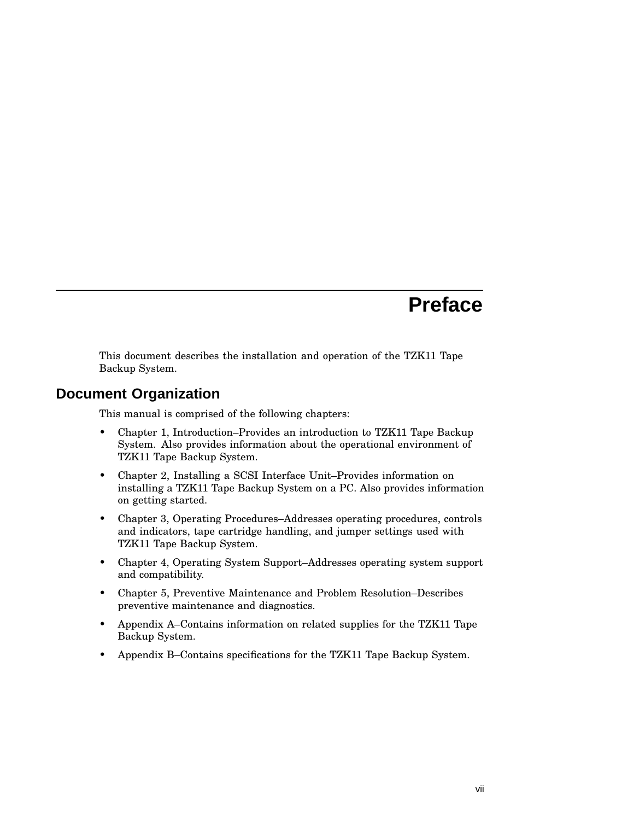# **Preface**

This document describes the installation and operation of the TZK11 Tape Backup System.

### **Document Organization**

This manual is comprised of the following chapters:

- Chapter 1, Introduction–Provides an introduction to TZK11 Tape Backup System. Also provides information about the operational environment of TZK11 Tape Backup System.
- Chapter 2, Installing a SCSI Interface Unit–Provides information on installing a TZK11 Tape Backup System on a PC. Also provides information on getting started.
- Chapter 3, Operating Procedures–Addresses operating procedures, controls and indicators, tape cartridge handling, and jumper settings used with TZK11 Tape Backup System.
- Chapter 4, Operating System Support–Addresses operating system support and compatibility.
- Chapter 5, Preventive Maintenance and Problem Resolution–Describes preventive maintenance and diagnostics.
- Appendix A–Contains information on related supplies for the TZK11 Tape Backup System.
- Appendix B–Contains specifications for the TZK11 Tape Backup System.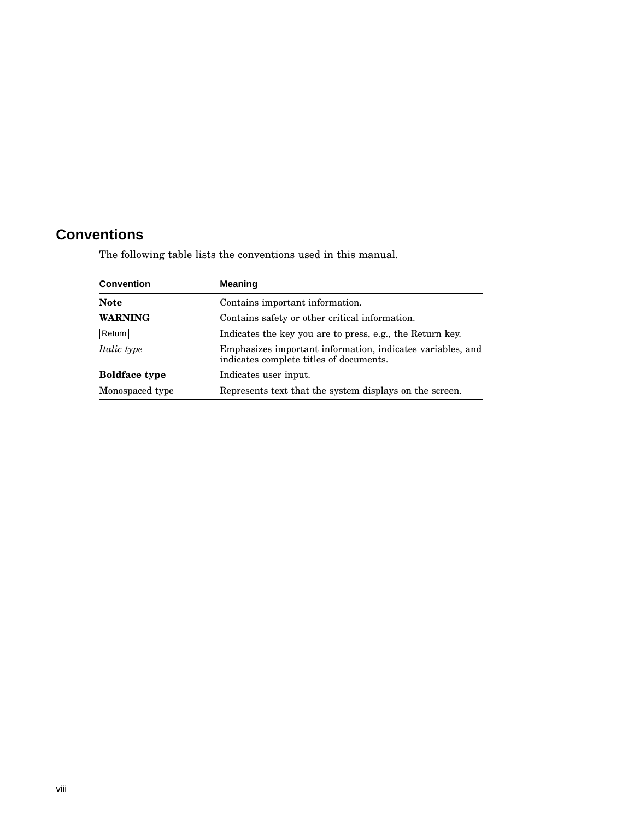# **Conventions**

The following table lists the conventions used in this manual.

| <b>Convention</b>    | <b>Meaning</b>                                                                                        |
|----------------------|-------------------------------------------------------------------------------------------------------|
| <b>Note</b>          | Contains important information.                                                                       |
| <b>WARNING</b>       | Contains safety or other critical information.                                                        |
| Return               | Indicates the key you are to press, e.g., the Return key.                                             |
| <i>Italic type</i>   | Emphasizes important information, indicates variables, and<br>indicates complete titles of documents. |
| <b>Boldface type</b> | Indicates user input.                                                                                 |
| Monospaced type      | Represents text that the system displays on the screen.                                               |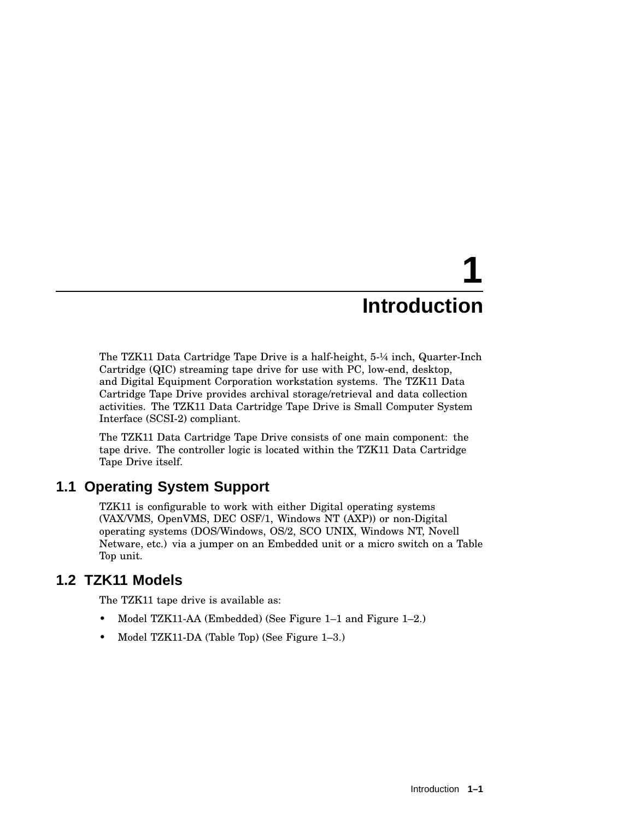# **1 Introduction**

The TZK11 Data Cartridge Tape Drive is a half-height, 5-¼ inch, Quarter-Inch Cartridge (QIC) streaming tape drive for use with PC, low-end, desktop, and Digital Equipment Corporation workstation systems. The TZK11 Data Cartridge Tape Drive provides archival storage/retrieval and data collection activities. The TZK11 Data Cartridge Tape Drive is Small Computer System Interface (SCSI-2) compliant.

The TZK11 Data Cartridge Tape Drive consists of one main component: the tape drive. The controller logic is located within the TZK11 Data Cartridge Tape Drive itself.

# **1.1 Operating System Support**

TZK11 is configurable to work with either Digital operating systems (VAX/VMS, OpenVMS, DEC OSF/1, Windows NT (AXP)) or non-Digital operating systems (DOS/Windows, OS/2, SCO UNIX, Windows NT, Novell Netware, etc.) via a jumper on an Embedded unit or a micro switch on a Table Top unit.

# **1.2 TZK11 Models**

The TZK11 tape drive is available as:

- Model TZK11-AA (Embedded) (See Figure 1–1 and Figure 1–2.)
- Model TZK11-DA (Table Top) (See Figure 1–3.)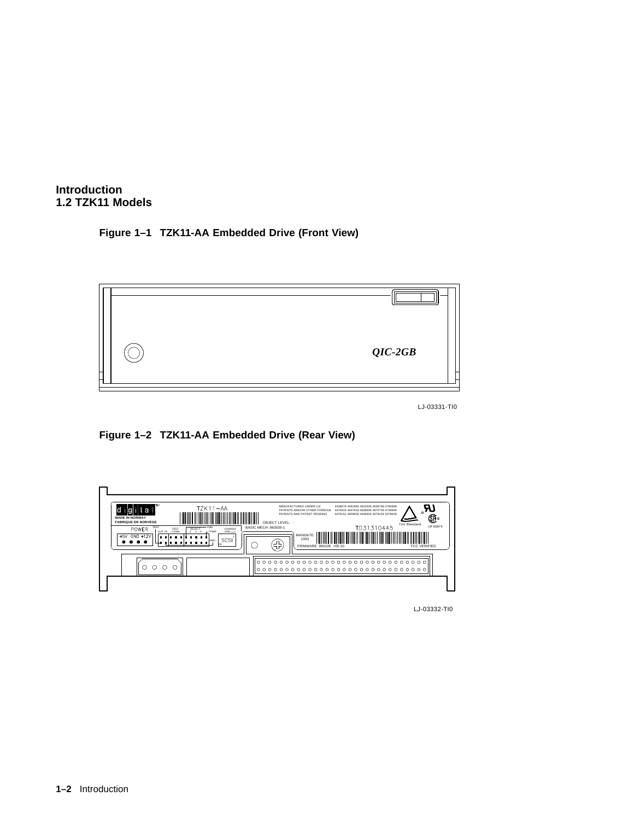

#### **Figure 1–1 TZK11-AA Embedded Drive (Front View)**



LJ-03331-TI0

**Figure 1–2 TZK11-AA Embedded Drive (Rear View)**



LJ-03332-TI0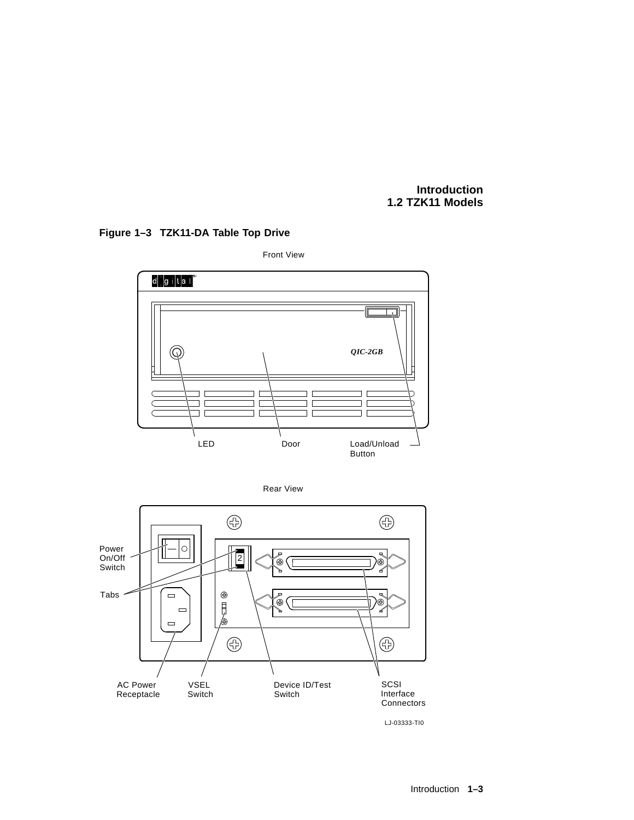#### **Introduction 1.2 TZK11 Models**

## **Figure 1–3 TZK11-DA Table Top Drive**







LJ-03333-TI0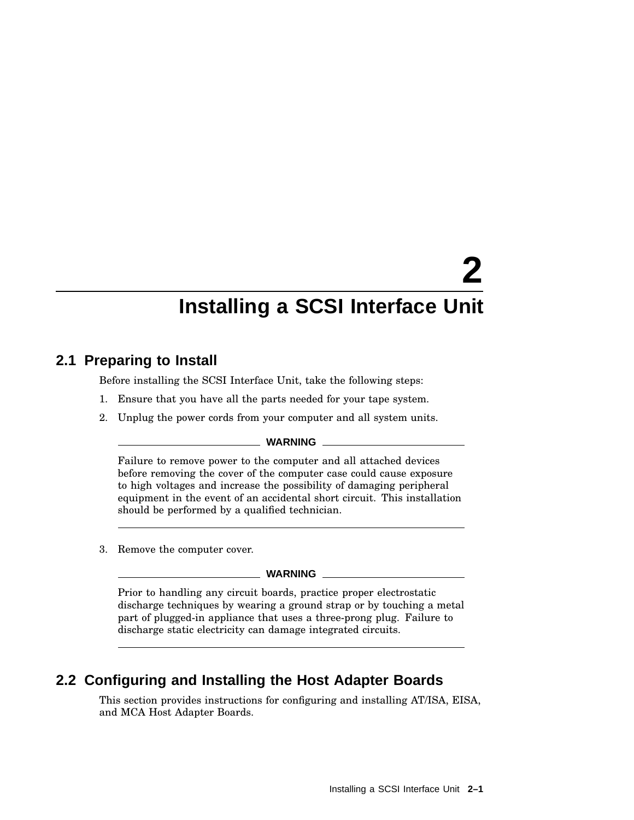# **2 Installing a SCSI Interface Unit**

## **2.1 Preparing to Install**

Before installing the SCSI Interface Unit, take the following steps:

- 1. Ensure that you have all the parts needed for your tape system.
- 2. Unplug the power cords from your computer and all system units.

#### **WARNING**

Failure to remove power to the computer and all attached devices before removing the cover of the computer case could cause exposure to high voltages and increase the possibility of damaging peripheral equipment in the event of an accidental short circuit. This installation should be performed by a qualified technician.

3. Remove the computer cover.

#### **WARNING**

Prior to handling any circuit boards, practice proper electrostatic discharge techniques by wearing a ground strap or by touching a metal part of plugged-in appliance that uses a three-prong plug. Failure to discharge static electricity can damage integrated circuits.

# **2.2 Configuring and Installing the Host Adapter Boards**

This section provides instructions for configuring and installing AT/ISA, EISA, and MCA Host Adapter Boards.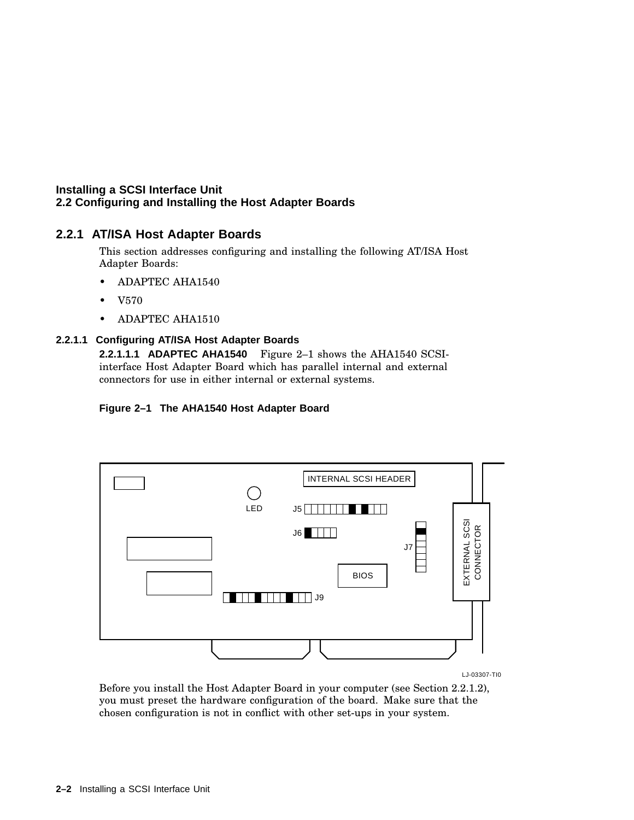#### **2.2.1 AT/ISA Host Adapter Boards**

This section addresses configuring and installing the following AT/ISA Host Adapter Boards:

- ADAPTEC AHA1540
- V570
- ADAPTEC AHA1510

#### **2.2.1.1 Configuring AT/ISA Host Adapter Boards**

**2.2.1.1.1 ADAPTEC AHA1540** Figure 2–1 shows the AHA1540 SCSIinterface Host Adapter Board which has parallel internal and external connectors for use in either internal or external systems.

#### **Figure 2–1 The AHA1540 Host Adapter Board**



LJ-03307-TI0

Before you install the Host Adapter Board in your computer (see Section 2.2.1.2), you must preset the hardware configuration of the board. Make sure that the chosen configuration is not in conflict with other set-ups in your system.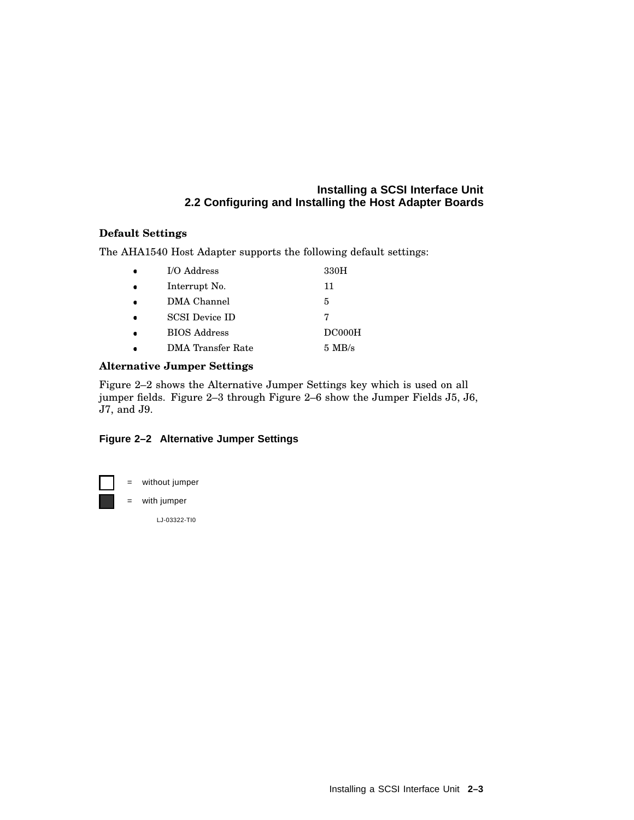#### **Default Settings**

The AHA1540 Host Adapter supports the following default settings:

| I/O Address              | 330H     |
|--------------------------|----------|
| Interrupt No.            | 11       |
| DMA Channel              | 5        |
| <b>SCSI</b> Device ID    |          |
| <b>BIOS</b> Address      | DC000H   |
| <b>DMA</b> Transfer Rate | $5$ MB/s |

#### **Alternative Jumper Settings**

Figure 2–2 shows the Alternative Jumper Settings key which is used on all jumper fields. Figure 2–3 through Figure 2–6 show the Jumper Fields J5, J6, J7, and J9.

#### **Figure 2–2 Alternative Jumper Settings**

= without jumper

= with jumper

LJ-03322-TI0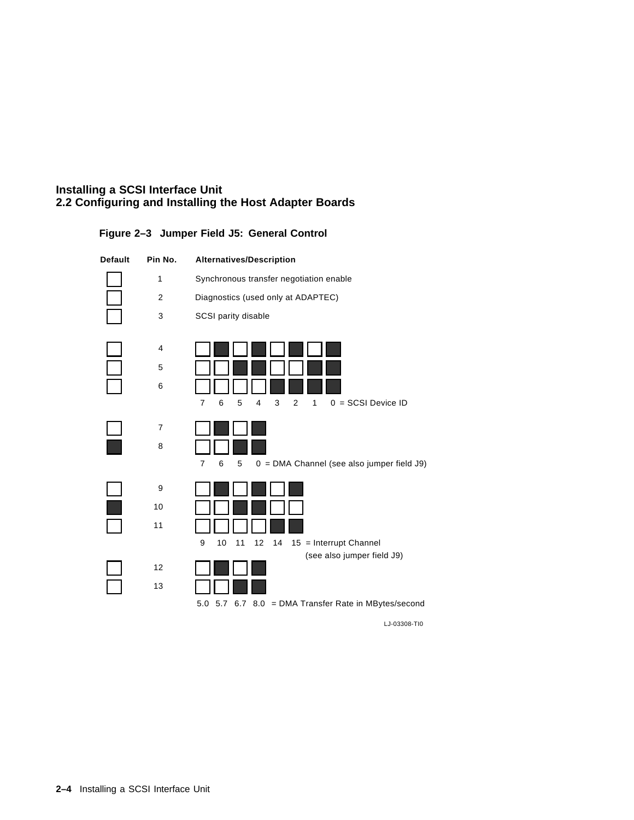

#### **Figure 2–3 Jumper Field J5: General Control**

LJ-03308-TI0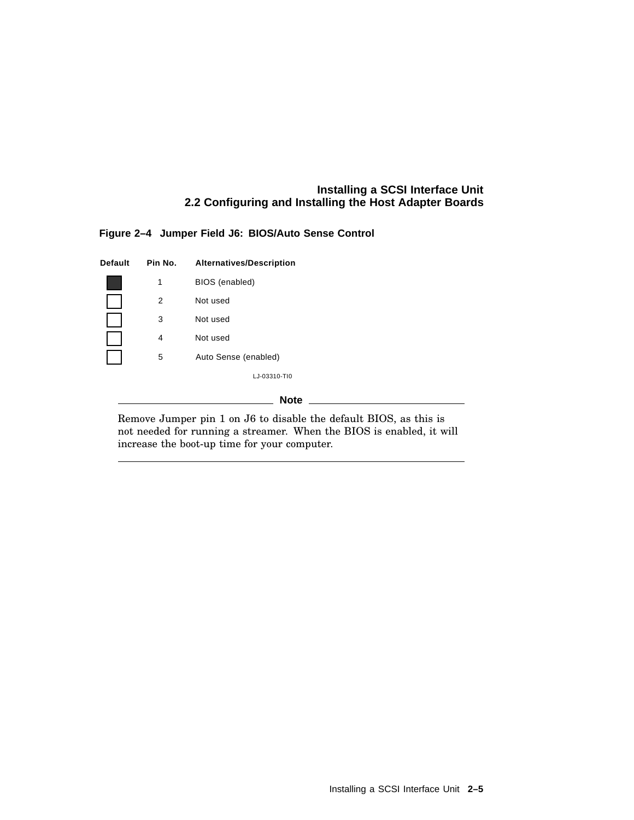#### **Figure 2–4 Jumper Field J6: BIOS/Auto Sense Control**

| Default | Pin No.        | Alternatives/Description |
|---------|----------------|--------------------------|
|         | 1              | BIOS (enabled)           |
|         | 2              | Not used                 |
|         | 3              | Not used                 |
|         | $\overline{4}$ | Not used                 |
|         | 5              | Auto Sense (enabled)     |
|         |                | LJ-03310-TI0             |
|         |                | <b>Note</b>              |

Remove Jumper pin 1 on J6 to disable the default BIOS, as this is not needed for running a streamer. When the BIOS is enabled, it will increase the boot-up time for your computer.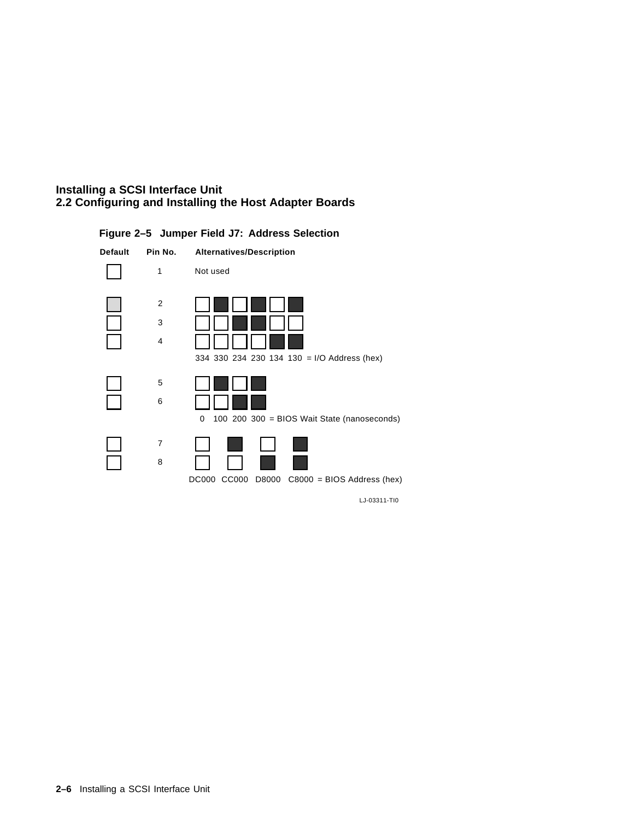

#### **Figure 2–5 Jumper Field J7: Address Selection**

LJ-03311-TI0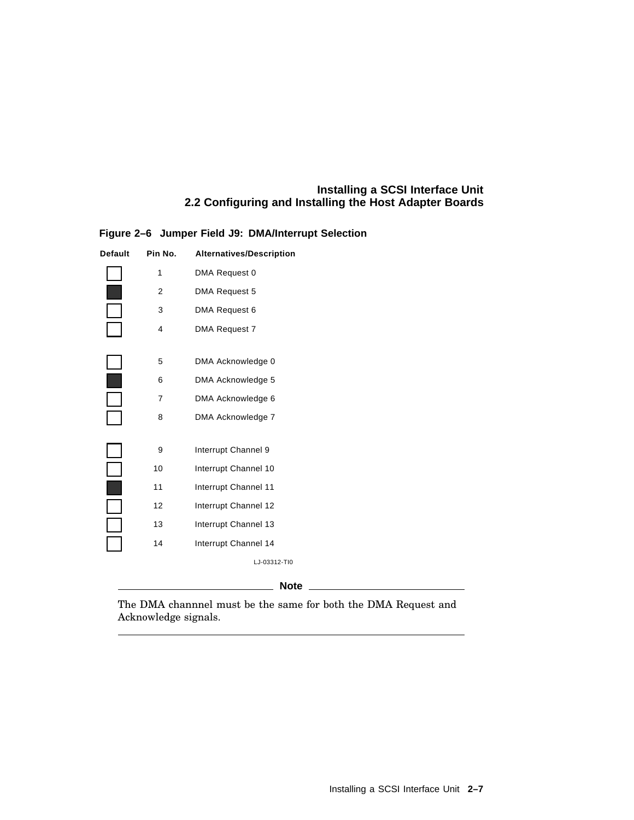| Default | Pin No. | <b>Alternatives/Description</b> |
|---------|---------|---------------------------------|
|         | 1       | DMA Request 0                   |
|         | 2       | DMA Request 5                   |
|         | 3       | DMA Request 6                   |
|         | 4       | DMA Request 7                   |
|         |         |                                 |
|         | 5       | DMA Acknowledge 0               |
|         | 6       | DMA Acknowledge 5               |
|         | 7       | DMA Acknowledge 6               |
|         | 8       | DMA Acknowledge 7               |
|         |         |                                 |
|         | 9       | Interrupt Channel 9             |
|         | 10      | Interrupt Channel 10            |
|         | 11      | Interrupt Channel 11            |
|         | 12      | Interrupt Channel 12            |
|         | 13      | Interrupt Channel 13            |
|         | 14      | Interrupt Channel 14            |
|         |         | LJ-03312-TI0                    |
|         |         |                                 |

#### **Figure 2–6 Jumper Field J9: DMA/Interrupt Selection**

**Note** \_\_\_\_

The DMA channnel must be the same for both the DMA Request and Acknowledge signals.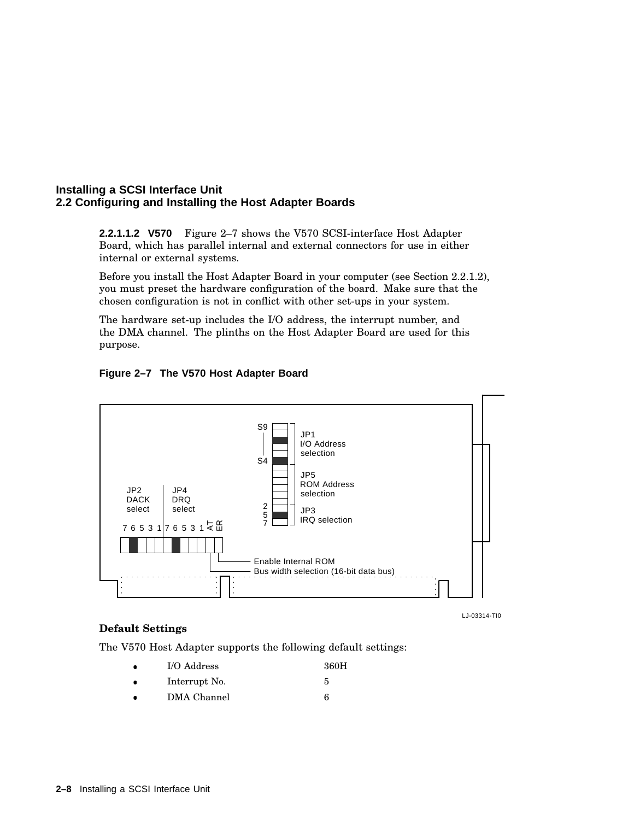**2.2.1.1.2 V570** Figure 2–7 shows the V570 SCSI-interface Host Adapter Board, which has parallel internal and external connectors for use in either internal or external systems.

Before you install the Host Adapter Board in your computer (see Section 2.2.1.2), you must preset the hardware configuration of the board. Make sure that the chosen configuration is not in conflict with other set-ups in your system.

The hardware set-up includes the I/O address, the interrupt number, and the DMA channel. The plinths on the Host Adapter Board are used for this purpose.



#### **Figure 2–7 The V570 Host Adapter Board**

LJ-03314-TI0

#### **Default Settings**

The V570 Host Adapter supports the following default settings:

- \_\_\_\_\_\_\_ I/O Address 360H
- $\bullet$ Interrupt No. 5
- $\bullet$ DMA Channel 6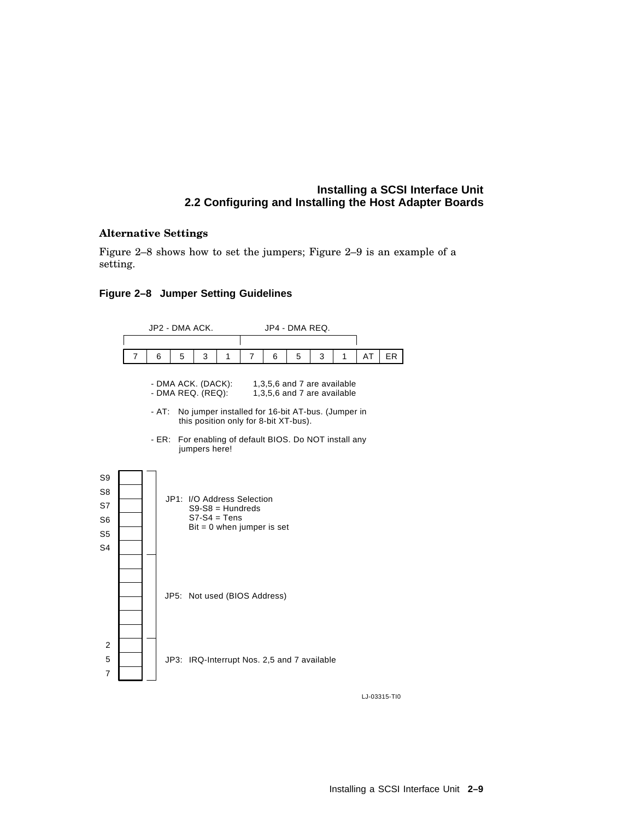#### **Alternative Settings**

Figure 2–8 shows how to set the jumpers; Figure 2–9 is an example of a setting.

#### **Figure 2–8 Jumper Setting Guidelines**



LJ-03315-TI0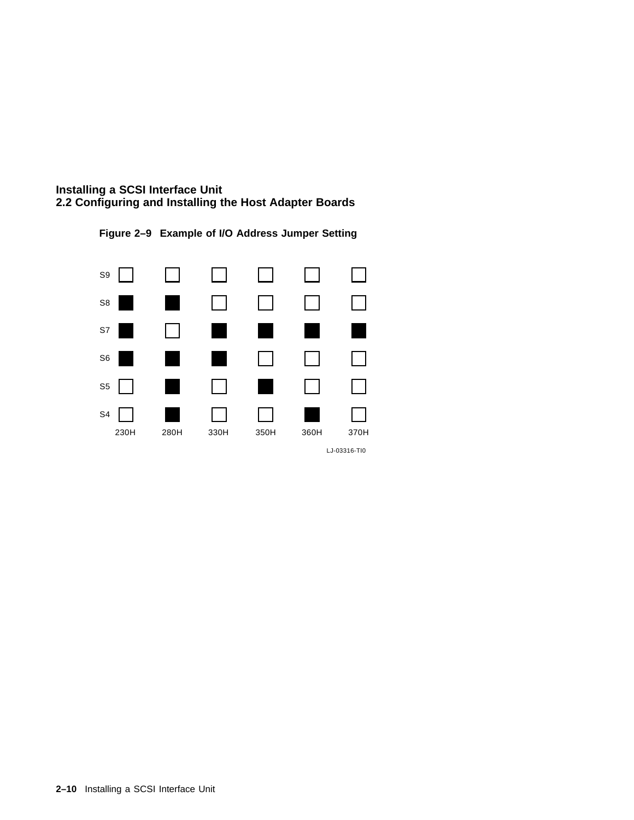



**Figure 2–9 Example of I/O Address Jumper Setting**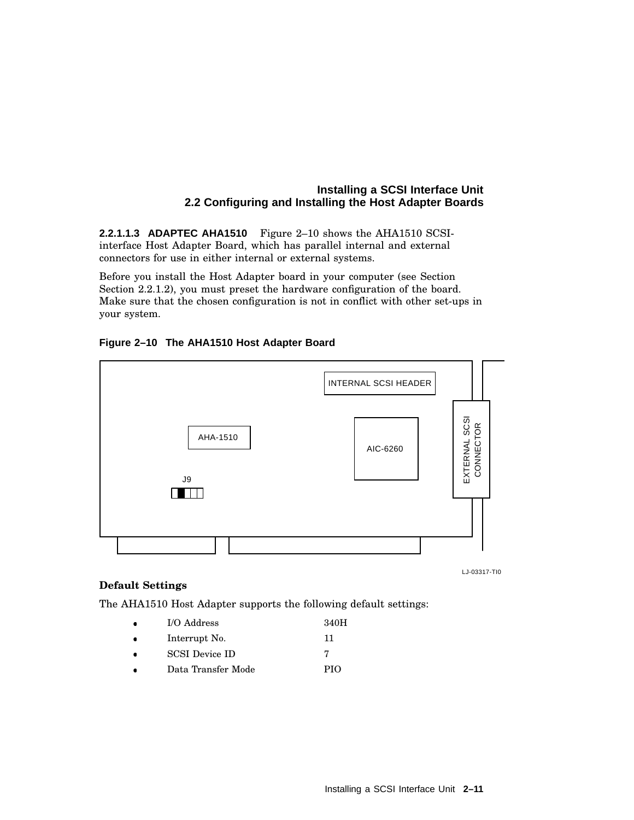**2.2.1.1.3 ADAPTEC AHA1510** Figure 2–10 shows the AHA1510 SCSIinterface Host Adapter Board, which has parallel internal and external connectors for use in either internal or external systems.

Before you install the Host Adapter board in your computer (see Section Section 2.2.1.2), you must preset the hardware configuration of the board. Make sure that the chosen configuration is not in conflict with other set-ups in your system.

#### **Figure 2–10 The AHA1510 Host Adapter Board**



LJ-03317-TI0

#### **Default Settings**

The AHA1510 Host Adapter supports the following default settings:

- $\bullet$ I/O Address 340H  $\bullet$ Interrupt No. 11
- $\bullet$ SCSI Device ID 7
- \_\_\_\_\_\_\_ Data Transfer Mode PIO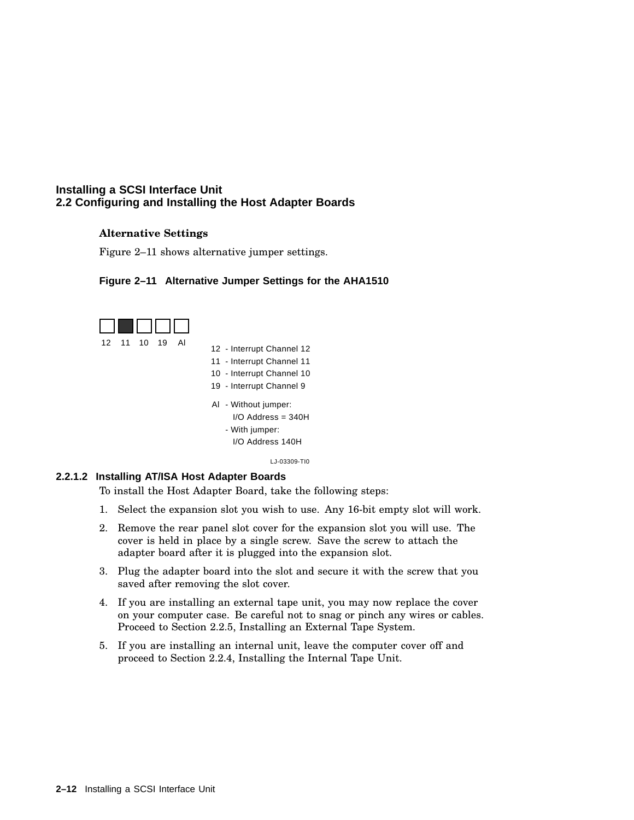#### **Alternative Settings**

Figure 2–11 shows alternative jumper settings.

#### **Figure 2–11 Alternative Jumper Settings for the AHA1510**

![](_page_23_Figure_4.jpeg)

#### **2.2.1.2 Installing AT/ISA Host Adapter Boards**

To install the Host Adapter Board, take the following steps:

- 1. Select the expansion slot you wish to use. Any 16-bit empty slot will work.
- 2. Remove the rear panel slot cover for the expansion slot you will use. The cover is held in place by a single screw. Save the screw to attach the adapter board after it is plugged into the expansion slot.
- 3. Plug the adapter board into the slot and secure it with the screw that you saved after removing the slot cover.
- 4. If you are installing an external tape unit, you may now replace the cover on your computer case. Be careful not to snag or pinch any wires or cables. Proceed to Section 2.2.5, Installing an External Tape System.
- 5. If you are installing an internal unit, leave the computer cover off and proceed to Section 2.2.4, Installing the Internal Tape Unit.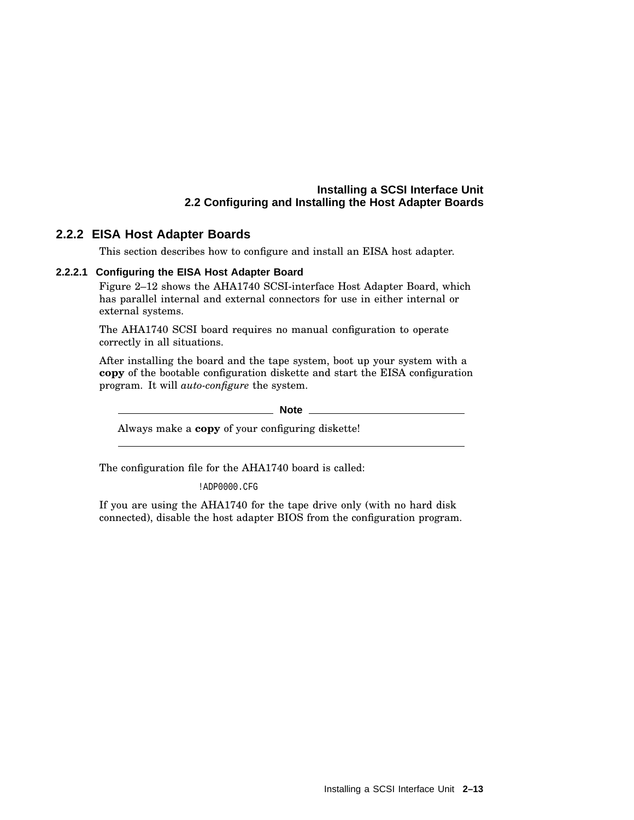#### **2.2.2 EISA Host Adapter Boards**

This section describes how to configure and install an EISA host adapter.

#### **2.2.2.1 Configuring the EISA Host Adapter Board**

Figure 2–12 shows the AHA1740 SCSI-interface Host Adapter Board, which has parallel internal and external connectors for use in either internal or external systems.

The AHA1740 SCSI board requires no manual configuration to operate correctly in all situations.

After installing the board and the tape system, boot up your system with a **copy** of the bootable configuration diskette and start the EISA configuration program. It will *auto-configure* the system.

**Note** \_

Always make a **copy** of your configuring diskette!

The configuration file for the AHA1740 board is called:

!ADP0000.CFG

If you are using the AHA1740 for the tape drive only (with no hard disk connected), disable the host adapter BIOS from the configuration program.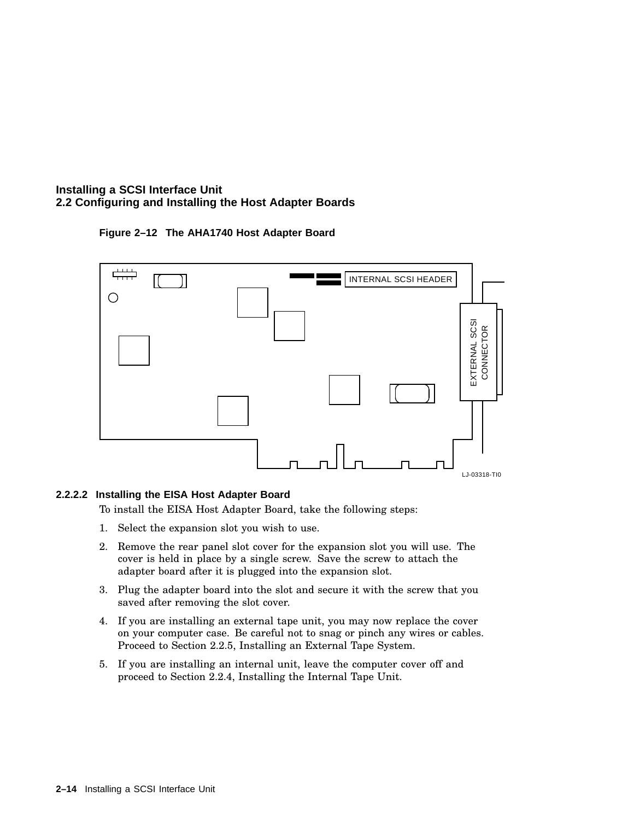![](_page_25_Figure_1.jpeg)

![](_page_25_Figure_2.jpeg)

#### **2.2.2.2 Installing the EISA Host Adapter Board**

To install the EISA Host Adapter Board, take the following steps:

- 1. Select the expansion slot you wish to use.
- 2. Remove the rear panel slot cover for the expansion slot you will use. The cover is held in place by a single screw. Save the screw to attach the adapter board after it is plugged into the expansion slot.
- 3. Plug the adapter board into the slot and secure it with the screw that you saved after removing the slot cover.
- 4. If you are installing an external tape unit, you may now replace the cover on your computer case. Be careful not to snag or pinch any wires or cables. Proceed to Section 2.2.5, Installing an External Tape System.
- 5. If you are installing an internal unit, leave the computer cover off and proceed to Section 2.2.4, Installing the Internal Tape Unit.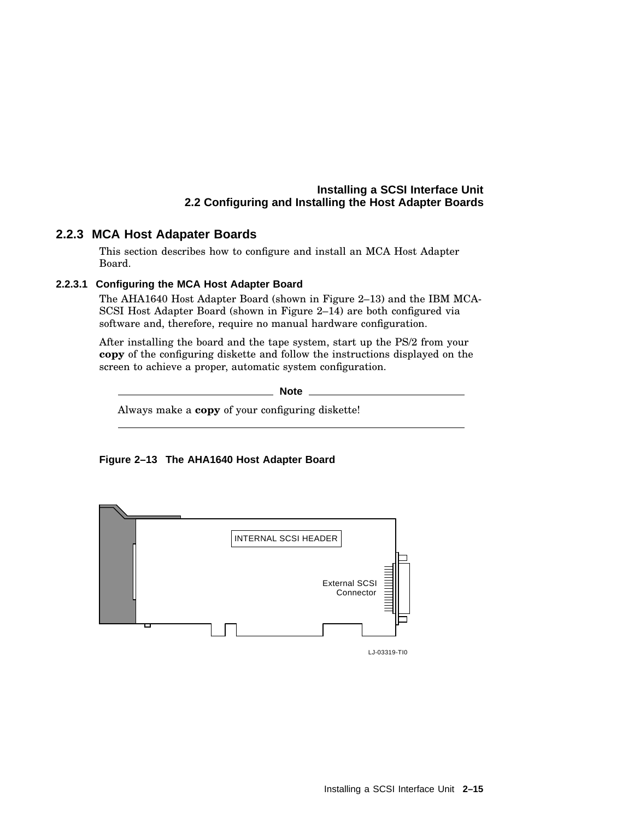#### **2.2.3 MCA Host Adapater Boards**

This section describes how to configure and install an MCA Host Adapter Board.

#### **2.2.3.1 Configuring the MCA Host Adapter Board**

The AHA1640 Host Adapter Board (shown in Figure 2–13) and the IBM MCA-SCSI Host Adapter Board (shown in Figure 2–14) are both configured via software and, therefore, require no manual hardware configuration.

After installing the board and the tape system, start up the PS/2 from your **copy** of the configuring diskette and follow the instructions displayed on the screen to achieve a proper, automatic system configuration.

**Note**

Always make a **copy** of your configuring diskette!

![](_page_26_Figure_8.jpeg)

![](_page_26_Figure_9.jpeg)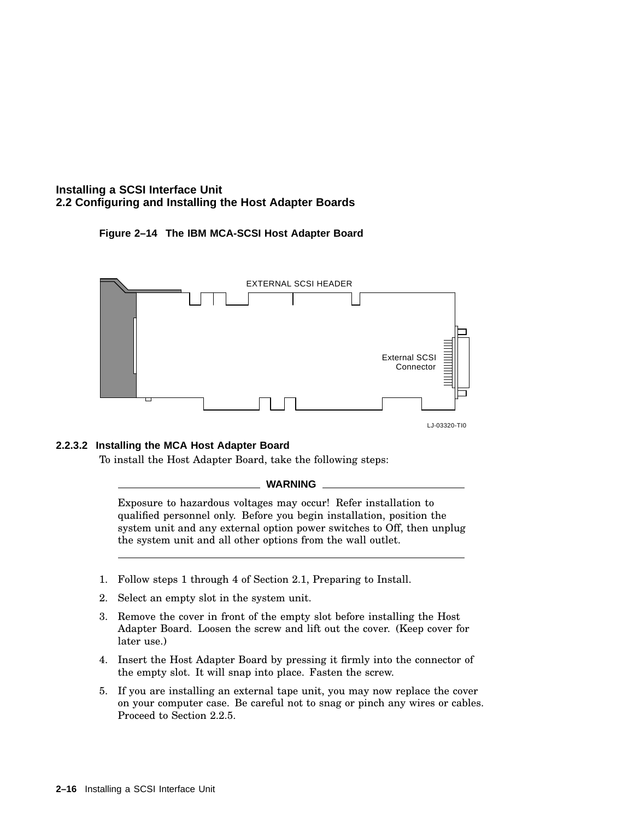#### **Figure 2–14 The IBM MCA-SCSI Host Adapter Board**

![](_page_27_Figure_2.jpeg)

#### **2.2.3.2 Installing the MCA Host Adapter Board**

To install the Host Adapter Board, take the following steps:

#### **WARNING**

Exposure to hazardous voltages may occur! Refer installation to qualified personnel only. Before you begin installation, position the system unit and any external option power switches to Off, then unplug the system unit and all other options from the wall outlet.

- 1. Follow steps 1 through 4 of Section 2.1, Preparing to Install.
- 2. Select an empty slot in the system unit.
- 3. Remove the cover in front of the empty slot before installing the Host Adapter Board. Loosen the screw and lift out the cover. (Keep cover for later use.)
- 4. Insert the Host Adapter Board by pressing it firmly into the connector of the empty slot. It will snap into place. Fasten the screw.
- 5. If you are installing an external tape unit, you may now replace the cover on your computer case. Be careful not to snag or pinch any wires or cables. Proceed to Section 2.2.5.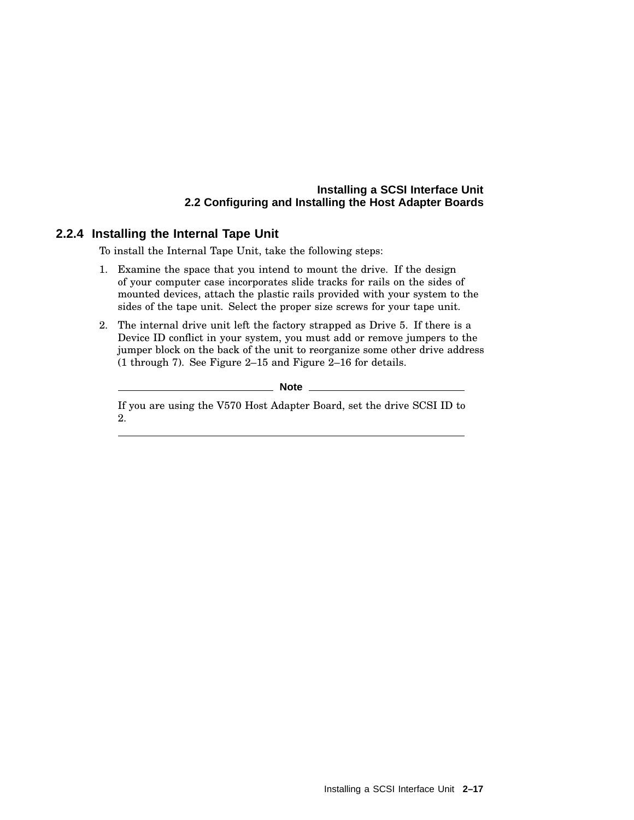#### **2.2.4 Installing the Internal Tape Unit**

To install the Internal Tape Unit, take the following steps:

- 1. Examine the space that you intend to mount the drive. If the design of your computer case incorporates slide tracks for rails on the sides of mounted devices, attach the plastic rails provided with your system to the sides of the tape unit. Select the proper size screws for your tape unit.
- 2. The internal drive unit left the factory strapped as Drive 5. If there is a Device ID conflict in your system, you must add or remove jumpers to the jumper block on the back of the unit to reorganize some other drive address (1 through 7). See Figure 2–15 and Figure 2–16 for details.

**Note** 

If you are using the V570 Host Adapter Board, set the drive SCSI ID to 2.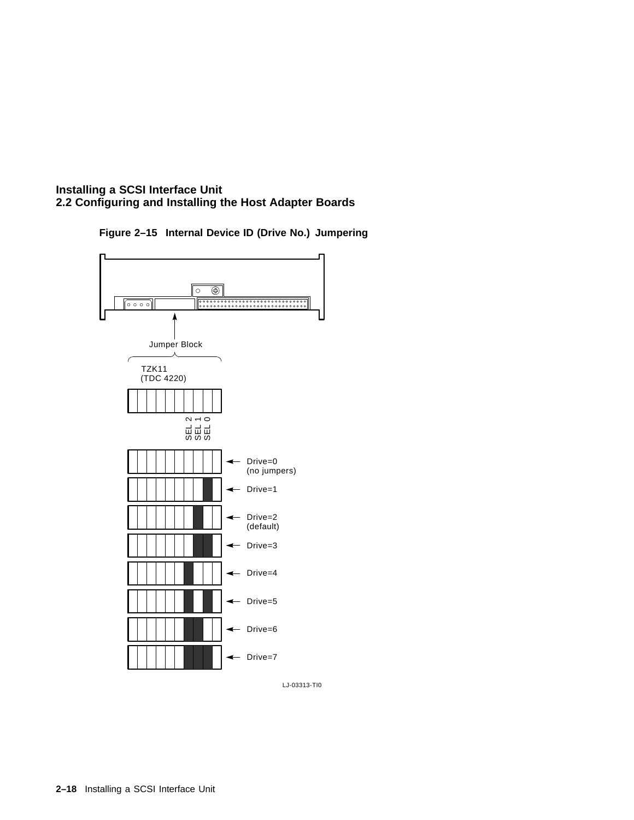**Figure 2–15 Internal Device ID (Drive No.) Jumpering**

![](_page_29_Figure_2.jpeg)

LJ-03313-TI0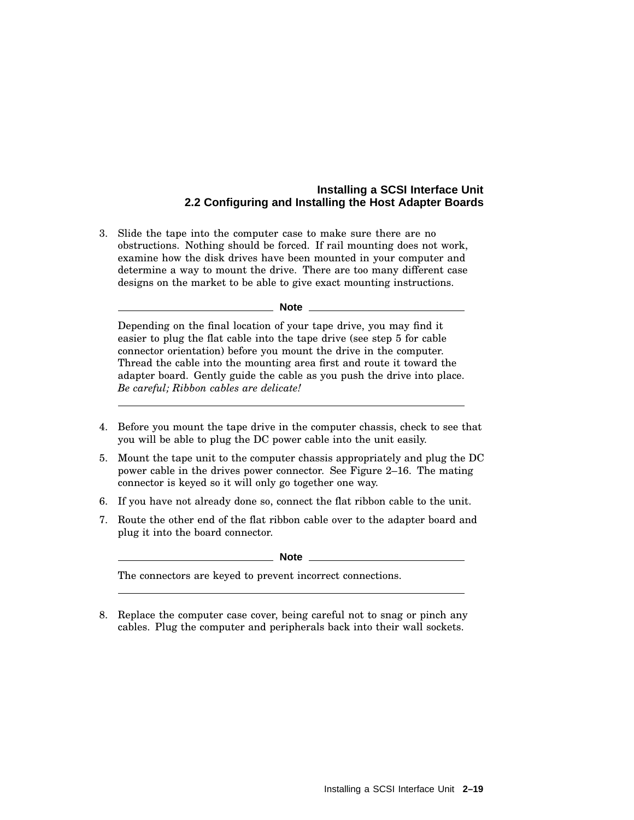3. Slide the tape into the computer case to make sure there are no obstructions. Nothing should be forced. If rail mounting does not work, examine how the disk drives have been mounted in your computer and determine a way to mount the drive. There are too many different case designs on the market to be able to give exact mounting instructions.

#### **Note** \_

Depending on the final location of your tape drive, you may find it easier to plug the flat cable into the tape drive (see step 5 for cable connector orientation) before you mount the drive in the computer. Thread the cable into the mounting area first and route it toward the adapter board. Gently guide the cable as you push the drive into place. *Be careful; Ribbon cables are delicate!*

- 4. Before you mount the tape drive in the computer chassis, check to see that you will be able to plug the DC power cable into the unit easily.
- 5. Mount the tape unit to the computer chassis appropriately and plug the DC power cable in the drives power connector. See Figure 2–16. The mating connector is keyed so it will only go together one way.
- 6. If you have not already done so, connect the flat ribbon cable to the unit.
- 7. Route the other end of the flat ribbon cable over to the adapter board and plug it into the board connector.

**Note**

The connectors are keyed to prevent incorrect connections.

8. Replace the computer case cover, being careful not to snag or pinch any cables. Plug the computer and peripherals back into their wall sockets.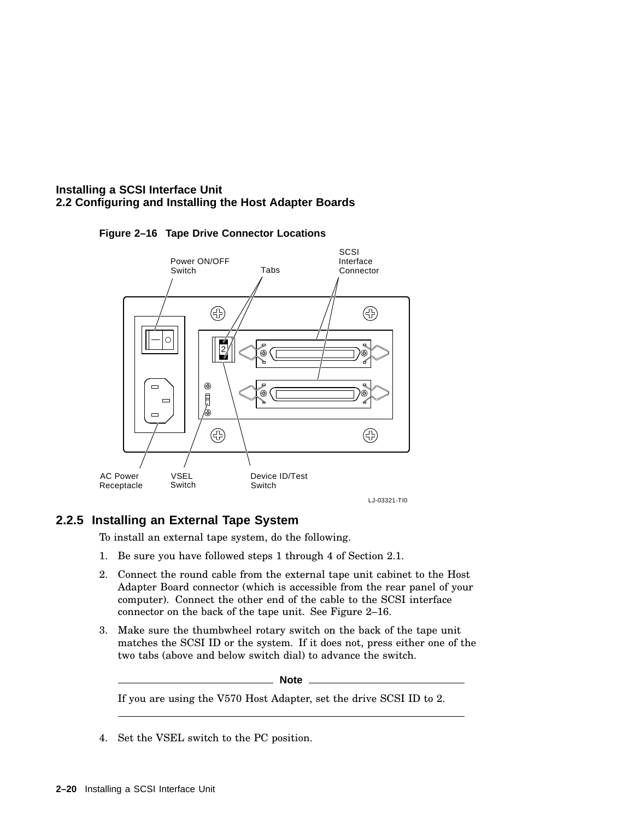![](_page_31_Figure_1.jpeg)

#### **Figure 2–16 Tape Drive Connector Locations**

#### **2.2.5 Installing an External Tape System**

To install an external tape system, do the following.

- 1. Be sure you have followed steps 1 through 4 of Section 2.1.
- 2. Connect the round cable from the external tape unit cabinet to the Host Adapter Board connector (which is accessible from the rear panel of your computer). Connect the other end of the cable to the SCSI interface connector on the back of the tape unit. See Figure 2–16.
- 3. Make sure the thumbwheel rotary switch on the back of the tape unit matches the SCSI ID or the system. If it does not, press either one of the two tabs (above and below switch dial) to advance the switch.

**Note**

If you are using the V570 Host Adapter, set the drive SCSI ID to 2.

4. Set the VSEL switch to the PC position.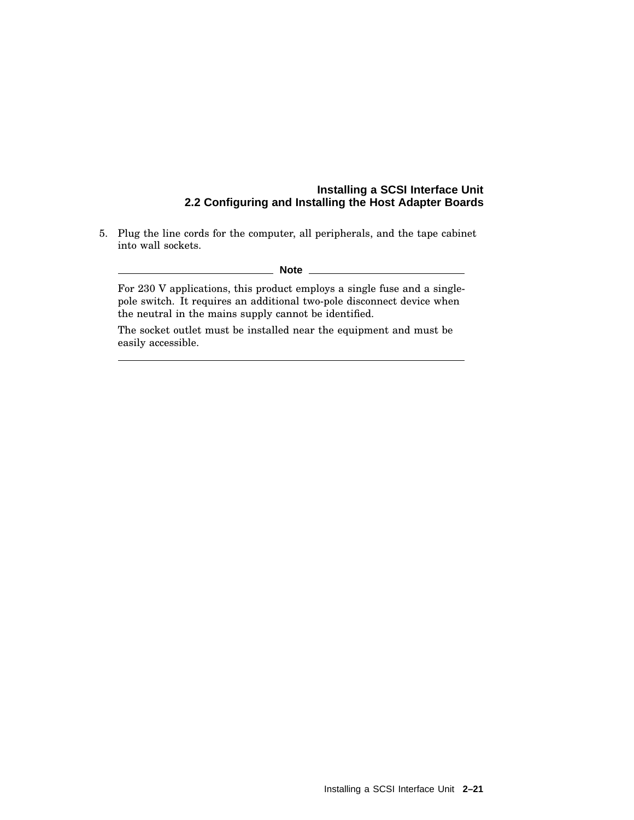5. Plug the line cords for the computer, all peripherals, and the tape cabinet into wall sockets.

#### **Note**

For 230 V applications, this product employs a single fuse and a singlepole switch. It requires an additional two-pole disconnect device when the neutral in the mains supply cannot be identified.

The socket outlet must be installed near the equipment and must be easily accessible.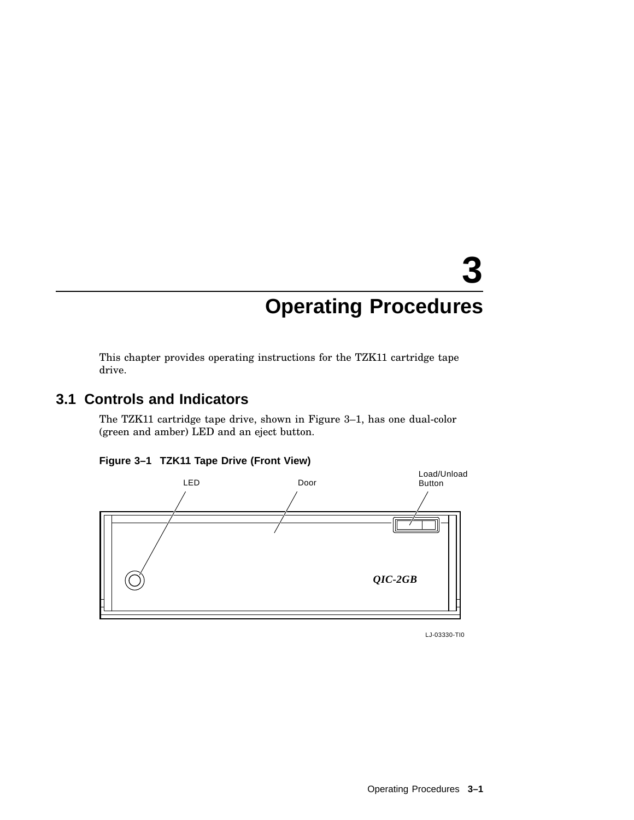# **3 Operating Procedures**

This chapter provides operating instructions for the TZK11 cartridge tape drive.

# **3.1 Controls and Indicators**

The TZK11 cartridge tape drive, shown in Figure 3–1, has one dual-color (green and amber) LED and an eject button.

![](_page_34_Figure_4.jpeg)

![](_page_34_Figure_5.jpeg)

LJ-03330-TI0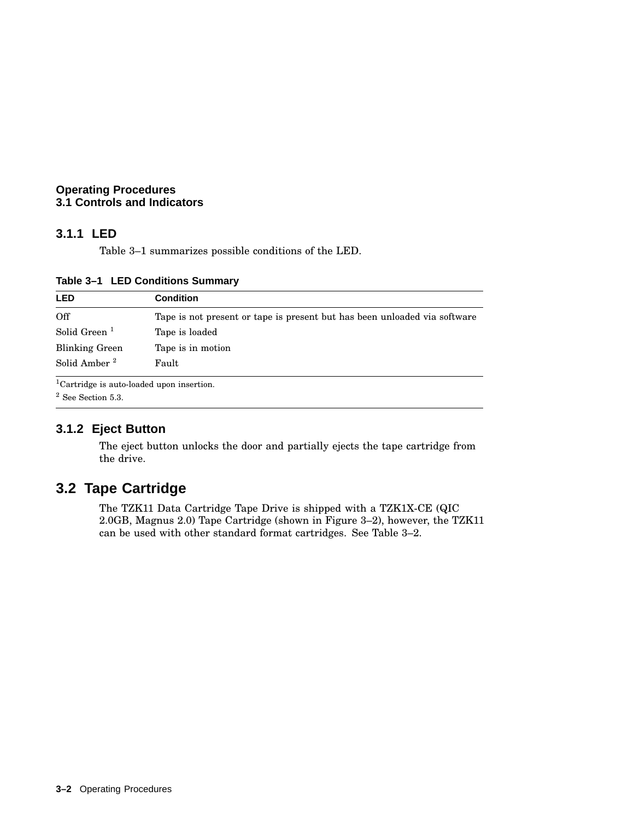#### **Operating Procedures 3.1 Controls and Indicators**

#### **3.1.1 LED**

Table 3–1 summarizes possible conditions of the LED.

| <b>LED</b>               | <b>Condition</b>                                                          |
|--------------------------|---------------------------------------------------------------------------|
| Off                      | Tape is not present or tape is present but has been unloaded via software |
| Solid Green <sup>1</sup> | Tape is loaded                                                            |
| <b>Blinking Green</b>    | Tape is in motion                                                         |
| Solid Amber <sup>2</sup> | Fault                                                                     |

**Table 3–1 LED Conditions Summary**

Cartridge is auto-loaded upon insertion.

<sup>2</sup> See Section 5.3.

#### **3.1.2 Eject Button**

The eject button unlocks the door and partially ejects the tape cartridge from the drive.

# **3.2 Tape Cartridge**

The TZK11 Data Cartridge Tape Drive is shipped with a TZK1X-CE (QIC 2.0GB, Magnus 2.0) Tape Cartridge (shown in Figure 3–2), however, the TZK11 can be used with other standard format cartridges. See Table 3–2.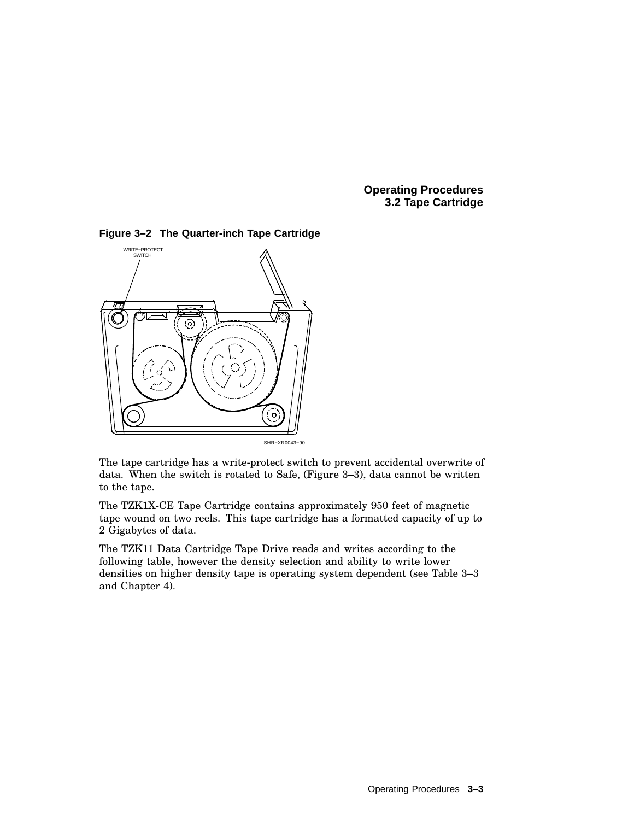**Operating Procedures 3.2 Tape Cartridge**

![](_page_36_Figure_1.jpeg)

**Figure 3–2 The Quarter-inch Tape Cartridge**

The tape cartridge has a write-protect switch to prevent accidental overwrite of data. When the switch is rotated to Safe, (Figure 3–3), data cannot be written to the tape.

The TZK1X-CE Tape Cartridge contains approximately 950 feet of magnetic tape wound on two reels. This tape cartridge has a formatted capacity of up to 2 Gigabytes of data.

The TZK11 Data Cartridge Tape Drive reads and writes according to the following table, however the density selection and ability to write lower densities on higher density tape is operating system dependent (see Table 3–3 and Chapter 4).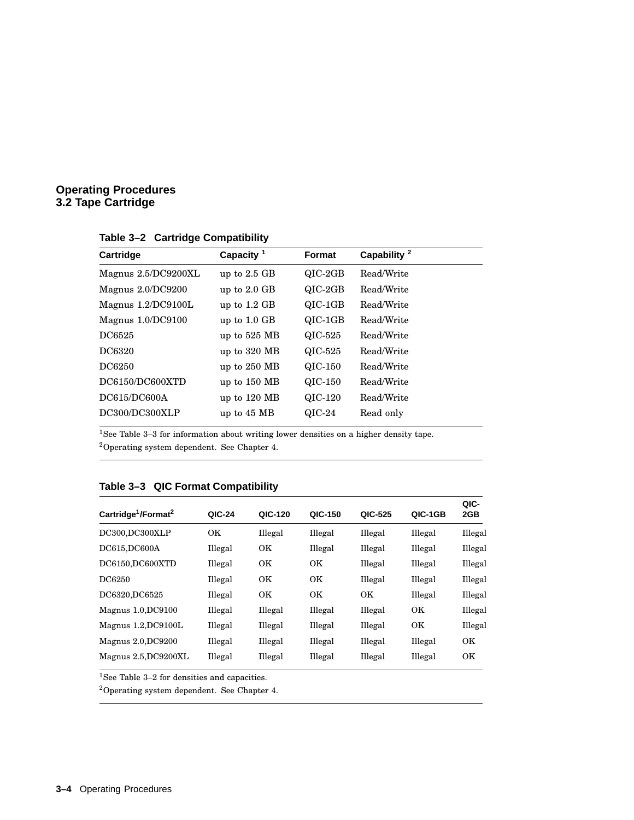#### **Operating Procedures 3.2 Tape Cartridge**

| Cartridge            | Capacity $1$   | <b>Format</b> | Capability <sup>2</sup> |  |
|----------------------|----------------|---------------|-------------------------|--|
| Magnus 2.5/DC9200XL  | up to $2.5$ GB | $QIC-2GB$     | Read/Write              |  |
| Magnus 2.0/DC9200    | up to $2.0$ GB | $QIC-2GB$     | Read/Write              |  |
| Magnus $1.2/DC9100L$ | up to $1.2$ GB | $QIC-1GB$     | Read/Write              |  |
| Magnus 1.0/DC9100    | up to $1.0$ GB | $QIC-1GB$     | Read/Write              |  |
| DC6525               | up to $525$ MB | QIC-525       | Read/Write              |  |
| DC6320               | up to 320 MB   | QIC-525       | Read/Write              |  |
| DC6250               | up to $250$ MB | QIC-150       | Read/Write              |  |
| DC6150/DC600XTD      | up to 150 MB   | QIC-150       | Read/Write              |  |
| DC615/DC600A         | up to $120$ MB | QIC-120       | Read/Write              |  |
| DC300/DC300XLP       | up to 45 MB    | $QIC-24$      | Read only               |  |
|                      |                |               |                         |  |

**Table 3–2 Cartridge Compatibility**

<sup>1</sup>See Table 3–3 for information about writing lower densities on a higher density tape.

<sup>2</sup>Operating system dependent. See Chapter 4.

|                                             |         |           |           |         |           | QIC-      |
|---------------------------------------------|---------|-----------|-----------|---------|-----------|-----------|
| Cartridge <sup>1</sup> /Format <sup>2</sup> | QIC-24  | QIC-120   | QIC-150   | QIC-525 | QIC-1GB   | 2GB       |
| DC300,DC300XLP                              | OK.     | Illegal   | Illegal   | Illegal | Illegal   | Illegal   |
| DC615, DC600A                               | Illegal | OK        | Illegal   | Illegal | Illegal   | Illegal   |
| DC6150,DC600XTD                             | Illegal | <b>OK</b> | <b>OK</b> | Illegal | Illegal   | Illegal   |
| DC6250                                      | Illegal | <b>OK</b> | <b>OK</b> | Illegal | Illegal   | Illegal   |
| DC6320, DC6525                              | Illegal | <b>OK</b> | <b>OK</b> | OK      | Illegal   | Illegal   |
| Magnus 1.0, DC9100                          | Illegal | Illegal   | Illegal   | Illegal | OK.       | Illegal   |
| Magnus 1.2, DC9100L                         | Illegal | Illegal   | Illegal   | Illegal | <b>OK</b> | Illegal   |
| Magnus 2.0, DC9200                          | Illegal | Illegal   | Illegal   | Illegal | Illegal   | <b>OK</b> |
| Magnus 2.5, DC9200XL                        | Illegal | Illegal   | Illegal   | Illegal | Illegal   | OK        |

#### **Table 3–3 QIC Format Compatibility**

 $^1\mathrm{See}$  Table 3–2 for densities and capacities.

<sup>2</sup>Operating system dependent. See Chapter 4.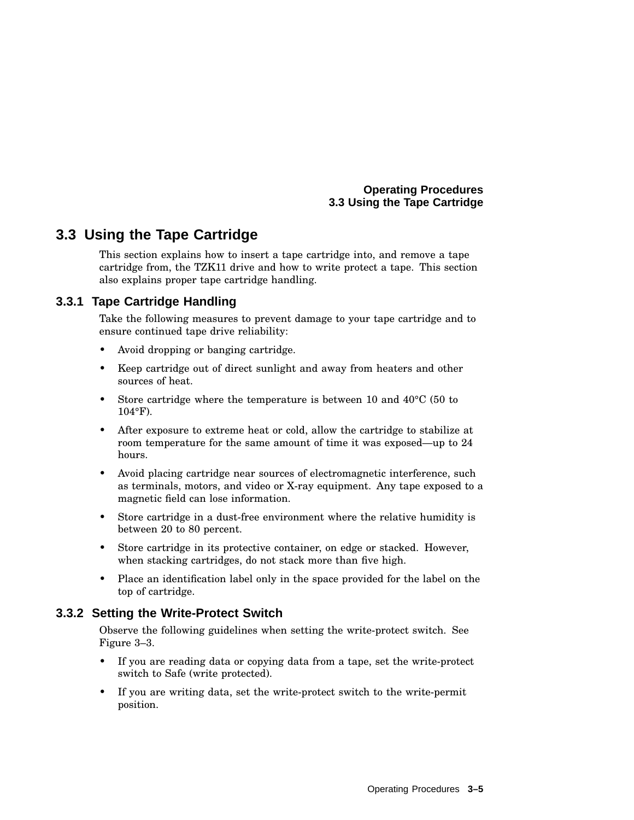# **3.3 Using the Tape Cartridge**

This section explains how to insert a tape cartridge into, and remove a tape cartridge from, the TZK11 drive and how to write protect a tape. This section also explains proper tape cartridge handling.

#### **3.3.1 Tape Cartridge Handling**

Take the following measures to prevent damage to your tape cartridge and to ensure continued tape drive reliability:

- Avoid dropping or banging cartridge.
- Keep cartridge out of direct sunlight and away from heaters and other sources of heat.
- Store cartridge where the temperature is between 10 and  $40^{\circ}$ C (50 to 104°F).
- After exposure to extreme heat or cold, allow the cartridge to stabilize at room temperature for the same amount of time it was exposed—up to 24 hours.
- Avoid placing cartridge near sources of electromagnetic interference, such as terminals, motors, and video or X-ray equipment. Any tape exposed to a magnetic field can lose information.
- Store cartridge in a dust-free environment where the relative humidity is between 20 to 80 percent.
- Store cartridge in its protective container, on edge or stacked. However, when stacking cartridges, do not stack more than five high.
- Place an identification label only in the space provided for the label on the top of cartridge.

#### **3.3.2 Setting the Write-Protect Switch**

Observe the following guidelines when setting the write-protect switch. See Figure 3–3.

- If you are reading data or copying data from a tape, set the write-protect switch to Safe (write protected).
- If you are writing data, set the write-protect switch to the write-permit position.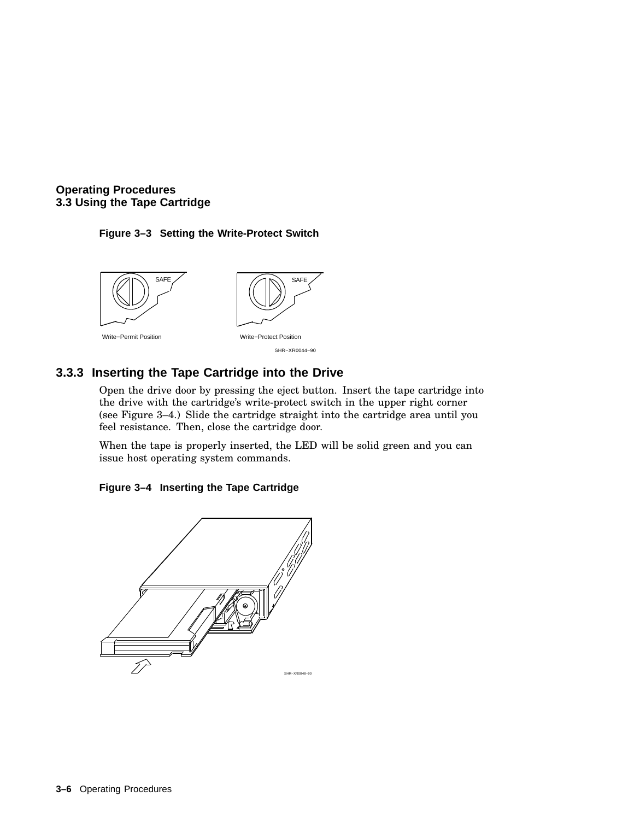#### **Figure 3–3 Setting the Write-Protect Switch**

![](_page_39_Figure_2.jpeg)

#### **3.3.3 Inserting the Tape Cartridge into the Drive**

Open the drive door by pressing the eject button. Insert the tape cartridge into the drive with the cartridge's write-protect switch in the upper right corner (see Figure 3–4.) Slide the cartridge straight into the cartridge area until you feel resistance. Then, close the cartridge door.

When the tape is properly inserted, the LED will be solid green and you can issue host operating system commands.

![](_page_39_Figure_6.jpeg)

![](_page_39_Figure_7.jpeg)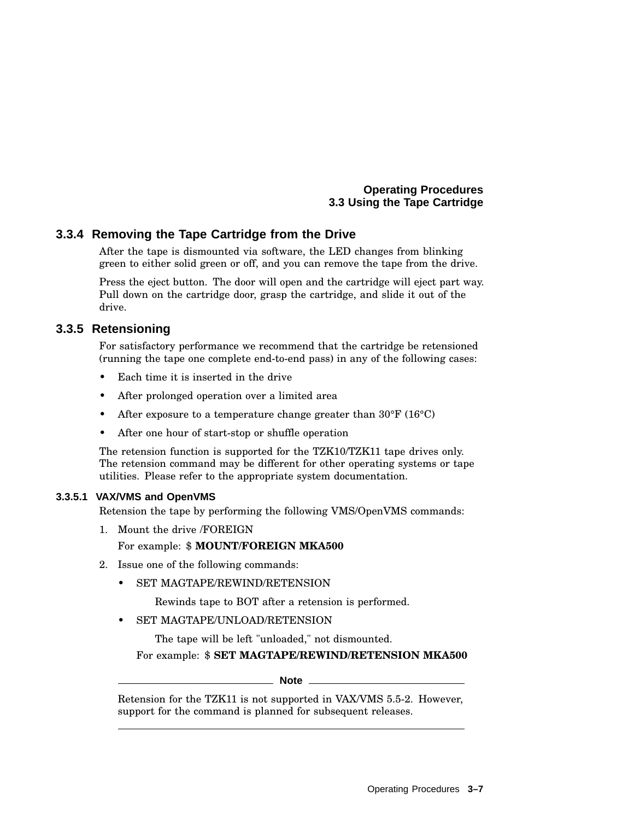#### **3.3.4 Removing the Tape Cartridge from the Drive**

After the tape is dismounted via software, the LED changes from blinking green to either solid green or off, and you can remove the tape from the drive.

Press the eject button. The door will open and the cartridge will eject part way. Pull down on the cartridge door, grasp the cartridge, and slide it out of the drive.

#### **3.3.5 Retensioning**

For satisfactory performance we recommend that the cartridge be retensioned (running the tape one complete end-to-end pass) in any of the following cases:

- Each time it is inserted in the drive
- After prolonged operation over a limited area
- After exposure to a temperature change greater than 30°F (16°C)
- After one hour of start-stop or shuffle operation

The retension function is supported for the TZK10/TZK11 tape drives only. The retension command may be different for other operating systems or tape utilities. Please refer to the appropriate system documentation.

#### **3.3.5.1 VAX/VMS and OpenVMS**

Retension the tape by performing the following VMS/OpenVMS commands:

1. Mount the drive /FOREIGN

#### For example: \$ **MOUNT/FOREIGN MKA500**

- 2. Issue one of the following commands:
	- SET MAGTAPE/REWIND/RETENSION

Rewinds tape to BOT after a retension is performed.

SET MAGTAPE/UNLOAD/RETENSION

The tape will be left "unloaded," not dismounted.

For example: \$ **SET MAGTAPE/REWIND/RETENSION MKA500**

#### **Note**

Retension for the TZK11 is not supported in VAX/VMS 5.5-2. However, support for the command is planned for subsequent releases.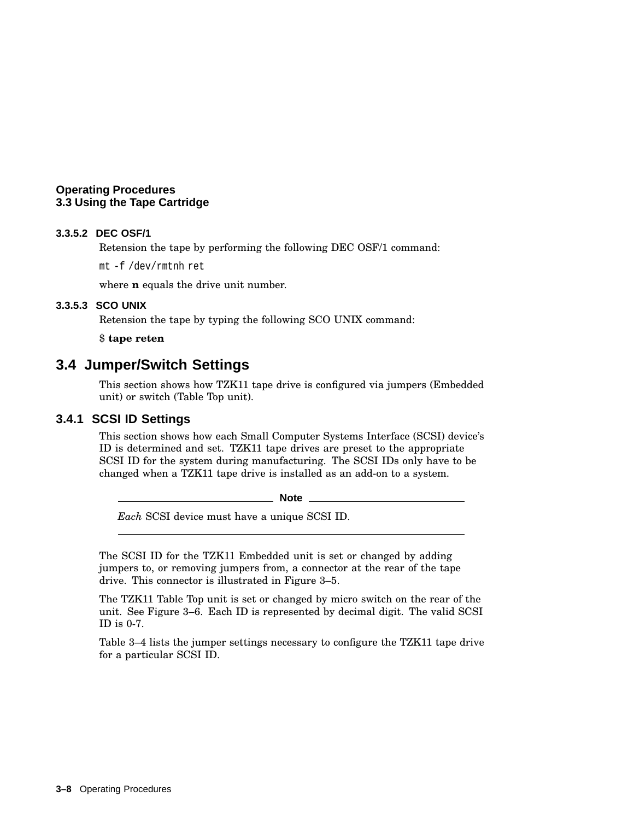#### **3.3.5.2 DEC OSF/1**

Retension the tape by performing the following DEC OSF/1 command:

mt -f /dev/rmtnh ret

where **n** equals the drive unit number.

#### **3.3.5.3 SCO UNIX**

Retension the tape by typing the following SCO UNIX command:

\$ **tape reten**

#### **3.4 Jumper/Switch Settings**

This section shows how TZK11 tape drive is configured via jumpers (Embedded unit) or switch (Table Top unit).

#### **3.4.1 SCSI ID Settings**

This section shows how each Small Computer Systems Interface (SCSI) device's ID is determined and set. TZK11 tape drives are preset to the appropriate SCSI ID for the system during manufacturing. The SCSI IDs only have to be changed when a TZK11 tape drive is installed as an add-on to a system.

**Note**

*Each* SCSI device must have a unique SCSI ID.

The SCSI ID for the TZK11 Embedded unit is set or changed by adding jumpers to, or removing jumpers from, a connector at the rear of the tape drive. This connector is illustrated in Figure 3–5.

The TZK11 Table Top unit is set or changed by micro switch on the rear of the unit. See Figure 3–6. Each ID is represented by decimal digit. The valid SCSI ID is 0-7.

Table 3–4 lists the jumper settings necessary to configure the TZK11 tape drive for a particular SCSI ID.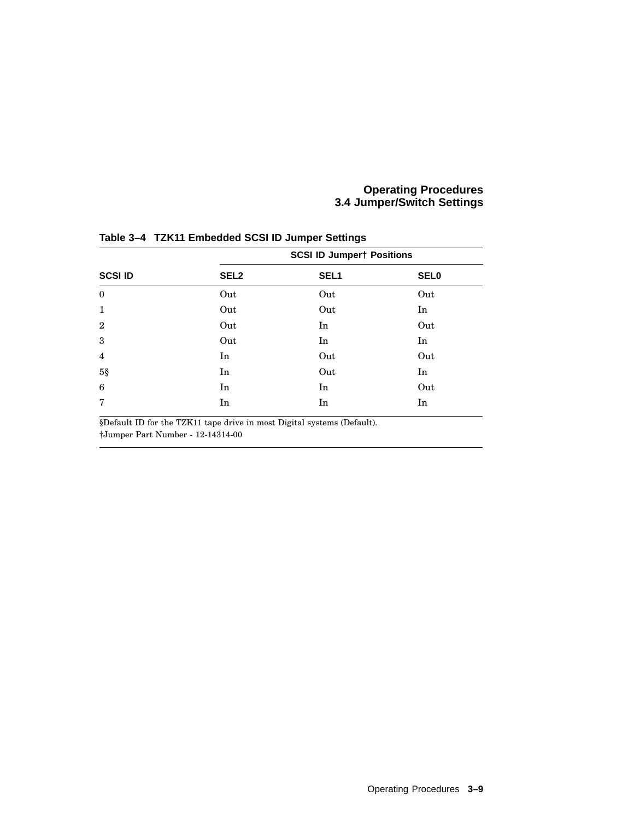#### **Operating Procedures 3.4 Jumper/Switch Settings**

|                | <b>SCSI ID Jumpert Positions</b> |                  |             |  |
|----------------|----------------------------------|------------------|-------------|--|
| <b>SCSI ID</b> | SEL <sub>2</sub>                 | SEL <sub>1</sub> | <b>SEL0</b> |  |
| $\mathbf{0}$   | Out                              | Out              | Out         |  |
| $\mathbf{1}$   | Out                              | Out              | In          |  |
| $\overline{2}$ | Out                              | In               | Out         |  |
| 3              | Out                              | In               | In          |  |
| $\overline{4}$ | In                               | Out              | Out         |  |
| $5\$           | In                               | Out              | In          |  |
| 6              | In                               | In               | Out         |  |
| $\overline{7}$ | In                               | In               | In          |  |

**Table 3–4 TZK11 Embedded SCSI ID Jumper Settings**

§Default ID for the TZK11 tape drive in most Digital systems (Default).

†Jumper Part Number - 12-14314-00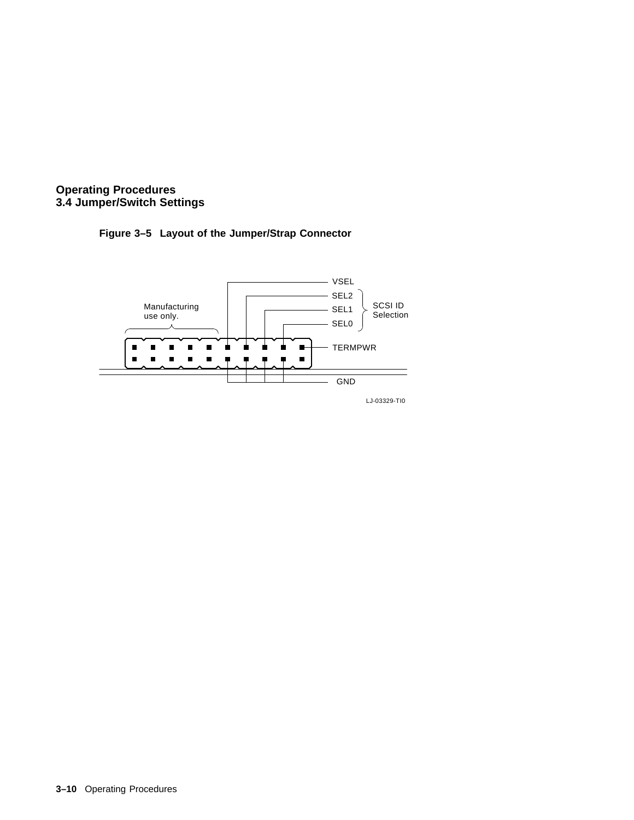![](_page_43_Figure_0.jpeg)

![](_page_43_Figure_1.jpeg)

![](_page_43_Figure_2.jpeg)

LJ-03329-TI0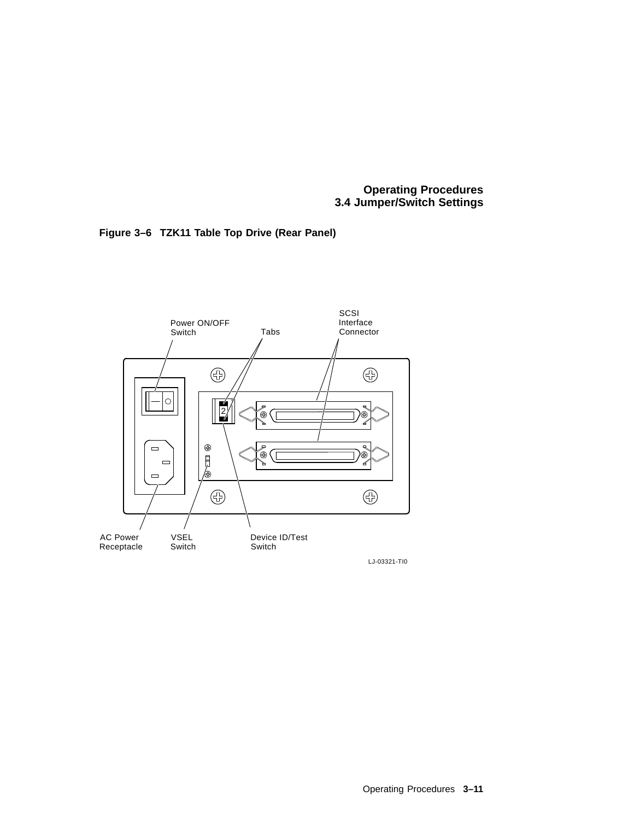**Operating Procedures 3.4 Jumper/Switch Settings**

![](_page_44_Figure_1.jpeg)

![](_page_44_Figure_2.jpeg)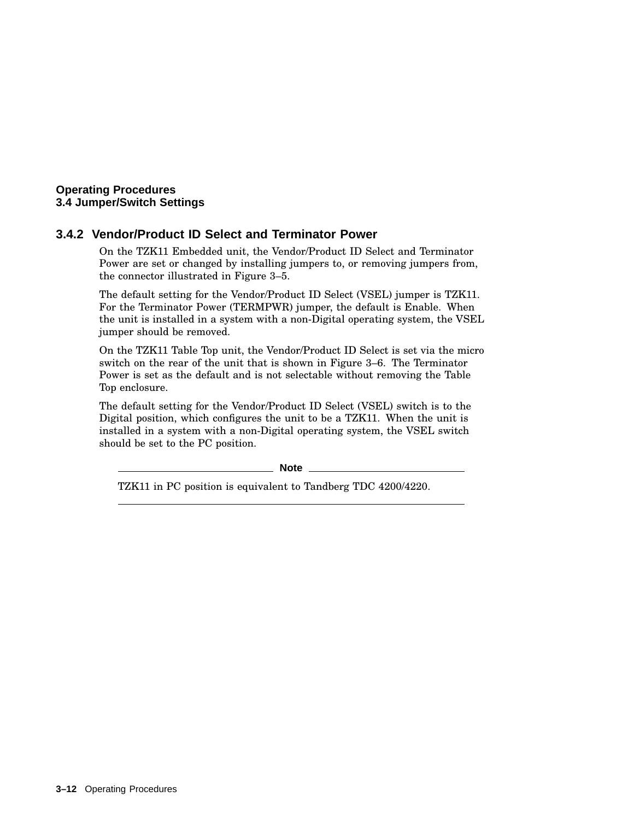#### **Operating Procedures 3.4 Jumper/Switch Settings**

#### **3.4.2 Vendor/Product ID Select and Terminator Power**

On the TZK11 Embedded unit, the Vendor/Product ID Select and Terminator Power are set or changed by installing jumpers to, or removing jumpers from, the connector illustrated in Figure 3–5.

The default setting for the Vendor/Product ID Select (VSEL) jumper is TZK11. For the Terminator Power (TERMPWR) jumper, the default is Enable. When the unit is installed in a system with a non-Digital operating system, the VSEL jumper should be removed.

On the TZK11 Table Top unit, the Vendor/Product ID Select is set via the micro switch on the rear of the unit that is shown in Figure 3–6. The Terminator Power is set as the default and is not selectable without removing the Table Top enclosure.

The default setting for the Vendor/Product ID Select (VSEL) switch is to the Digital position, which configures the unit to be a TZK11. When the unit is installed in a system with a non-Digital operating system, the VSEL switch should be set to the PC position.

**Note**

TZK11 in PC position is equivalent to Tandberg TDC 4200/4220.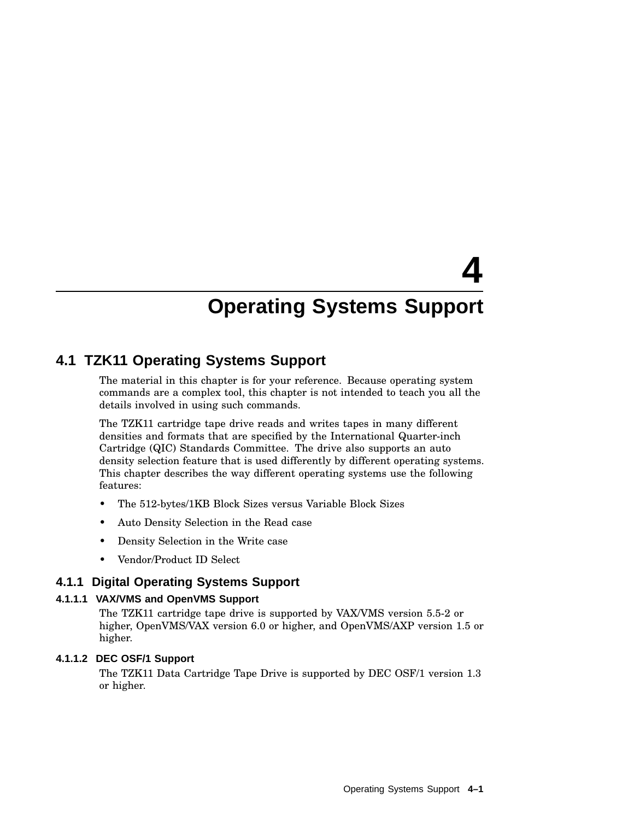# **4**

# **Operating Systems Support**

## **4.1 TZK11 Operating Systems Support**

The material in this chapter is for your reference. Because operating system commands are a complex tool, this chapter is not intended to teach you all the details involved in using such commands.

The TZK11 cartridge tape drive reads and writes tapes in many different densities and formats that are specified by the International Quarter-inch Cartridge (QIC) Standards Committee. The drive also supports an auto density selection feature that is used differently by different operating systems. This chapter describes the way different operating systems use the following features:

- The 512-bytes/1KB Block Sizes versus Variable Block Sizes
- Auto Density Selection in the Read case
- Density Selection in the Write case
- Vendor/Product ID Select

#### **4.1.1 Digital Operating Systems Support**

#### **4.1.1.1 VAX/VMS and OpenVMS Support**

The TZK11 cartridge tape drive is supported by VAX/VMS version 5.5-2 or higher, OpenVMS/VAX version 6.0 or higher, and OpenVMS/AXP version 1.5 or higher.

#### **4.1.1.2 DEC OSF/1 Support**

The TZK11 Data Cartridge Tape Drive is supported by DEC OSF/1 version 1.3 or higher.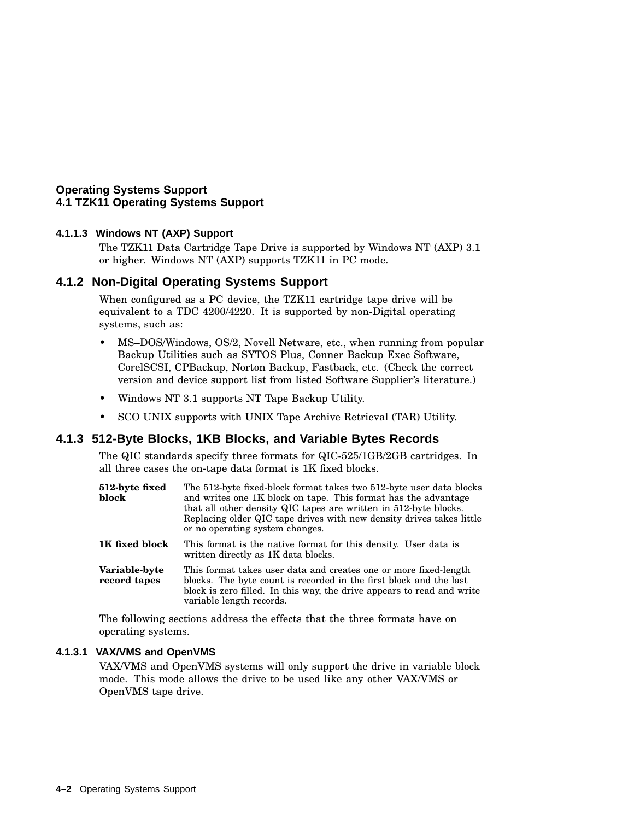#### **Operating Systems Support 4.1 TZK11 Operating Systems Support**

#### **4.1.1.3 Windows NT (AXP) Support**

The TZK11 Data Cartridge Tape Drive is supported by Windows NT (AXP) 3.1 or higher. Windows NT (AXP) supports TZK11 in PC mode.

#### **4.1.2 Non-Digital Operating Systems Support**

When configured as a PC device, the TZK11 cartridge tape drive will be equivalent to a TDC 4200/4220. It is supported by non-Digital operating systems, such as:

- MS–DOS/Windows, OS/2, Novell Netware, etc., when running from popular Backup Utilities such as SYTOS Plus, Conner Backup Exec Software, CorelSCSI, CPBackup, Norton Backup, Fastback, etc. (Check the correct version and device support list from listed Software Supplier's literature.)
- Windows NT 3.1 supports NT Tape Backup Utility.
- SCO UNIX supports with UNIX Tape Archive Retrieval (TAR) Utility.

#### **4.1.3 512-Byte Blocks, 1KB Blocks, and Variable Bytes Records**

The QIC standards specify three formats for QIC-525/1GB/2GB cartridges. In all three cases the on-tape data format is 1K fixed blocks.

| 512-byte fixed<br>block              | The 512-byte fixed-block format takes two 512-byte user data blocks<br>and writes one 1K block on tape. This format has the advantage<br>that all other density QIC tapes are written in 512-byte blocks.<br>Replacing older QIC tape drives with new density drives takes little<br>or no operating system changes. |
|--------------------------------------|----------------------------------------------------------------------------------------------------------------------------------------------------------------------------------------------------------------------------------------------------------------------------------------------------------------------|
| 1K fixed block                       | This format is the native format for this density. User data is<br>written directly as 1K data blocks.                                                                                                                                                                                                               |
| <b>Variable-byte</b><br>record tapes | This format takes user data and creates one or more fixed-length<br>blocks. The byte count is recorded in the first block and the last<br>block is zero filled. In this way, the drive appears to read and write<br>variable length records.                                                                         |

The following sections address the effects that the three formats have on operating systems.

#### **4.1.3.1 VAX/VMS and OpenVMS**

VAX/VMS and OpenVMS systems will only support the drive in variable block mode. This mode allows the drive to be used like any other VAX/VMS or OpenVMS tape drive.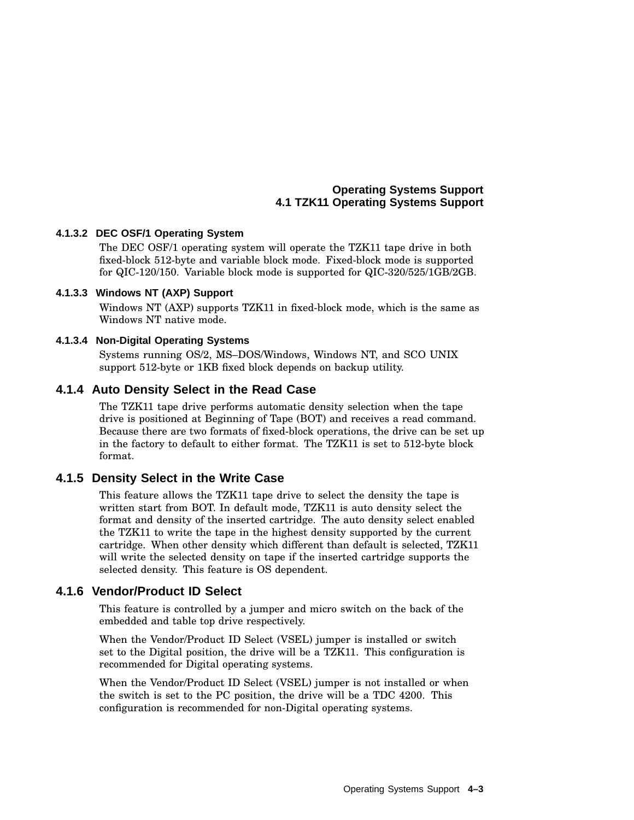#### **Operating Systems Support 4.1 TZK11 Operating Systems Support**

#### **4.1.3.2 DEC OSF/1 Operating System**

The DEC OSF/1 operating system will operate the TZK11 tape drive in both fixed-block 512-byte and variable block mode. Fixed-block mode is supported for QIC-120/150. Variable block mode is supported for QIC-320/525/1GB/2GB.

#### **4.1.3.3 Windows NT (AXP) Support**

Windows NT (AXP) supports TZK11 in fixed-block mode, which is the same as Windows NT native mode.

#### **4.1.3.4 Non-Digital Operating Systems**

Systems running OS/2, MS–DOS/Windows, Windows NT, and SCO UNIX support 512-byte or 1KB fixed block depends on backup utility.

#### **4.1.4 Auto Density Select in the Read Case**

The TZK11 tape drive performs automatic density selection when the tape drive is positioned at Beginning of Tape (BOT) and receives a read command. Because there are two formats of fixed-block operations, the drive can be set up in the factory to default to either format. The TZK11 is set to 512-byte block format.

#### **4.1.5 Density Select in the Write Case**

This feature allows the TZK11 tape drive to select the density the tape is written start from BOT. In default mode, TZK11 is auto density select the format and density of the inserted cartridge. The auto density select enabled the TZK11 to write the tape in the highest density supported by the current cartridge. When other density which different than default is selected, TZK11 will write the selected density on tape if the inserted cartridge supports the selected density. This feature is OS dependent.

#### **4.1.6 Vendor/Product ID Select**

This feature is controlled by a jumper and micro switch on the back of the embedded and table top drive respectively.

When the Vendor/Product ID Select (VSEL) jumper is installed or switch set to the Digital position, the drive will be a TZK11. This configuration is recommended for Digital operating systems.

When the Vendor/Product ID Select (VSEL) jumper is not installed or when the switch is set to the PC position, the drive will be a TDC 4200. This configuration is recommended for non-Digital operating systems.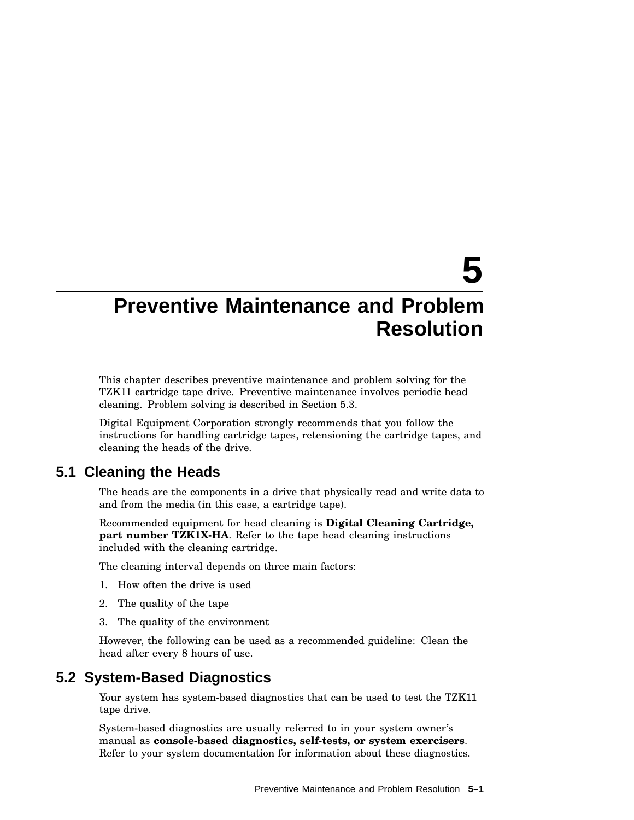# **5**

# **Preventive Maintenance and Problem Resolution**

This chapter describes preventive maintenance and problem solving for the TZK11 cartridge tape drive. Preventive maintenance involves periodic head cleaning. Problem solving is described in Section 5.3.

Digital Equipment Corporation strongly recommends that you follow the instructions for handling cartridge tapes, retensioning the cartridge tapes, and cleaning the heads of the drive.

#### **5.1 Cleaning the Heads**

The heads are the components in a drive that physically read and write data to and from the media (in this case, a cartridge tape).

Recommended equipment for head cleaning is **Digital Cleaning Cartridge, part number TZK1X-HA**. Refer to the tape head cleaning instructions included with the cleaning cartridge.

The cleaning interval depends on three main factors:

- 1. How often the drive is used
- 2. The quality of the tape
- 3. The quality of the environment

However, the following can be used as a recommended guideline: Clean the head after every 8 hours of use.

#### **5.2 System-Based Diagnostics**

Your system has system-based diagnostics that can be used to test the TZK11 tape drive.

System-based diagnostics are usually referred to in your system owner's manual as **console-based diagnostics, self-tests, or system exercisers**. Refer to your system documentation for information about these diagnostics.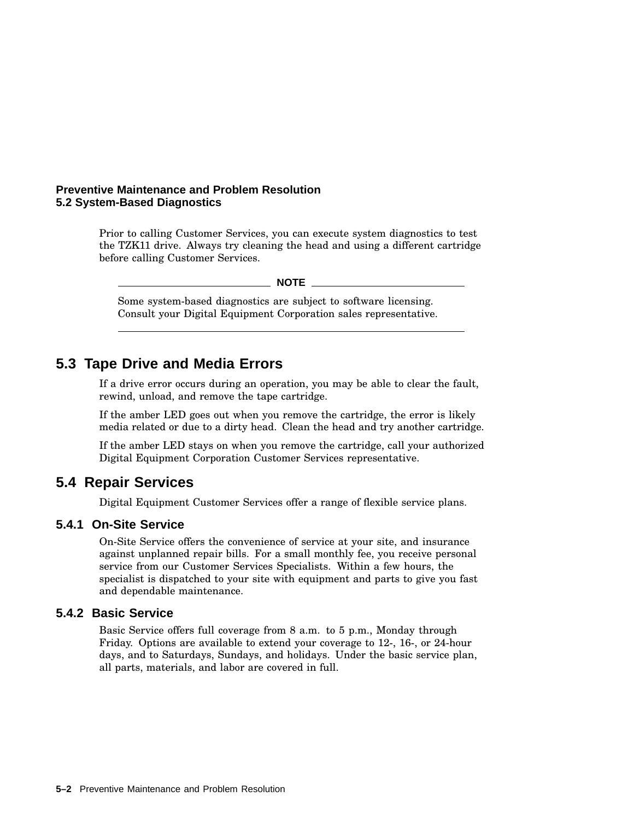#### **Preventive Maintenance and Problem Resolution 5.2 System-Based Diagnostics**

Prior to calling Customer Services, you can execute system diagnostics to test the TZK11 drive. Always try cleaning the head and using a different cartridge before calling Customer Services.

**NOTE**

Some system-based diagnostics are subject to software licensing. Consult your Digital Equipment Corporation sales representative.

### **5.3 Tape Drive and Media Errors**

If a drive error occurs during an operation, you may be able to clear the fault, rewind, unload, and remove the tape cartridge.

If the amber LED goes out when you remove the cartridge, the error is likely media related or due to a dirty head. Clean the head and try another cartridge.

If the amber LED stays on when you remove the cartridge, call your authorized Digital Equipment Corporation Customer Services representative.

#### **5.4 Repair Services**

Digital Equipment Customer Services offer a range of flexible service plans.

#### **5.4.1 On-Site Service**

On-Site Service offers the convenience of service at your site, and insurance against unplanned repair bills. For a small monthly fee, you receive personal service from our Customer Services Specialists. Within a few hours, the specialist is dispatched to your site with equipment and parts to give you fast and dependable maintenance.

#### **5.4.2 Basic Service**

Basic Service offers full coverage from 8 a.m. to 5 p.m., Monday through Friday. Options are available to extend your coverage to 12-, 16-, or 24-hour days, and to Saturdays, Sundays, and holidays. Under the basic service plan, all parts, materials, and labor are covered in full.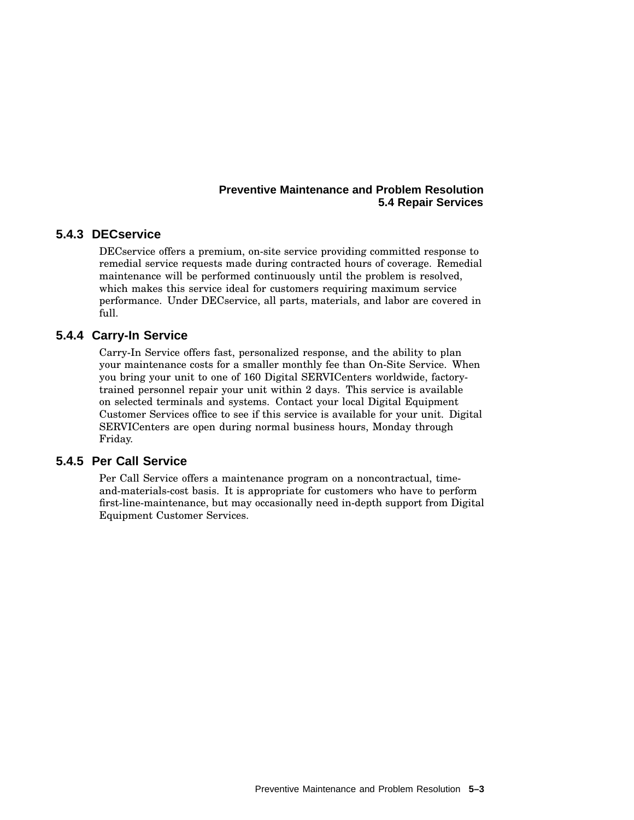#### **Preventive Maintenance and Problem Resolution 5.4 Repair Services**

#### **5.4.3 DECservice**

DECservice offers a premium, on-site service providing committed response to remedial service requests made during contracted hours of coverage. Remedial maintenance will be performed continuously until the problem is resolved, which makes this service ideal for customers requiring maximum service performance. Under DECservice, all parts, materials, and labor are covered in full.

#### **5.4.4 Carry-In Service**

Carry-In Service offers fast, personalized response, and the ability to plan your maintenance costs for a smaller monthly fee than On-Site Service. When you bring your unit to one of 160 Digital SERVICenters worldwide, factorytrained personnel repair your unit within 2 days. This service is available on selected terminals and systems. Contact your local Digital Equipment Customer Services office to see if this service is available for your unit. Digital SERVICenters are open during normal business hours, Monday through Friday.

#### **5.4.5 Per Call Service**

Per Call Service offers a maintenance program on a noncontractual, timeand-materials-cost basis. It is appropriate for customers who have to perform first-line-maintenance, but may occasionally need in-depth support from Digital Equipment Customer Services.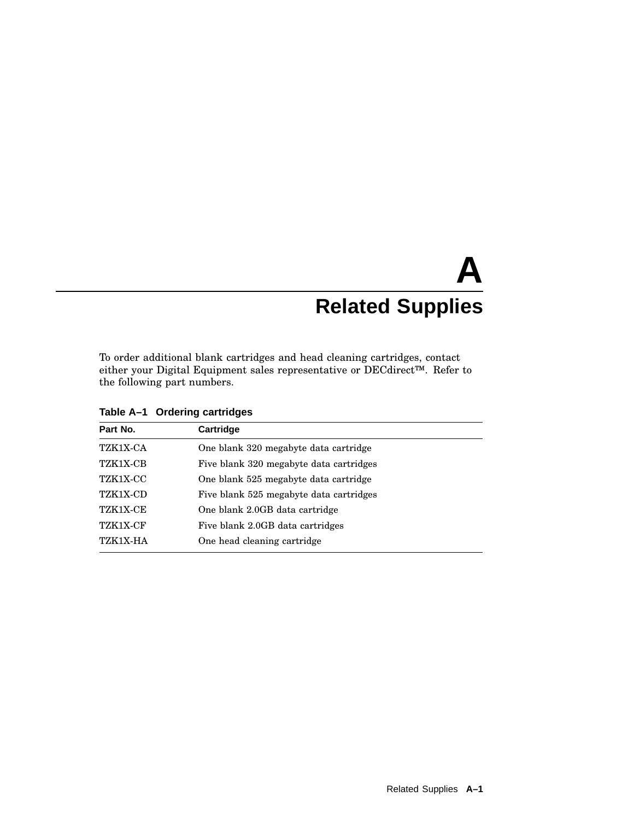# **A Related Supplies**

To order additional blank cartridges and head cleaning cartridges, contact either your Digital Equipment sales representative or DECdirect™. Refer to the following part numbers.

| Cartridge                               |
|-----------------------------------------|
| One blank 320 megabyte data cartridge   |
| Five blank 320 megabyte data cartridges |
| One blank 525 megabyte data cartridge   |
| Five blank 525 megabyte data cartridges |
| One blank 2.0GB data cartridge          |
| Five blank 2.0GB data cartridges        |
| One head cleaning cartridge             |
|                                         |

**Table A–1 Ordering cartridges**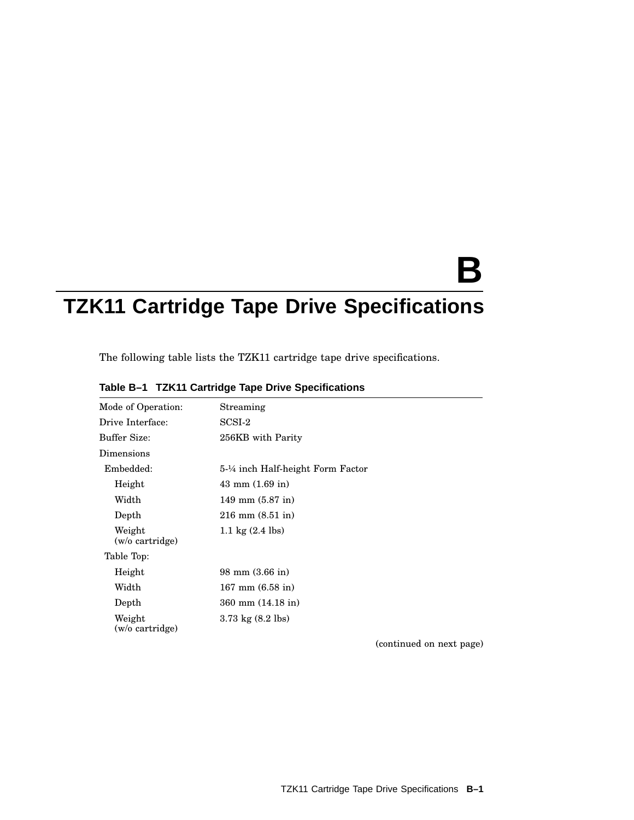# **B**

# **TZK11 Cartridge Tape Drive Specifications**

The following table lists the TZK11 cartridge tape drive specifications.

| Mode of Operation:        | Streaming                           |
|---------------------------|-------------------------------------|
| Drive Interface:          | $SCSI-2$                            |
| Buffer Size:              | 256KB with Parity                   |
| Dimensions                |                                     |
| Embedded:                 | 5-¼ inch Half-height Form Factor    |
| Height                    | $43 \text{ mm} (1.69 \text{ in})$   |
| Width                     | $149$ mm $(5.87)$ in                |
| Depth                     | $216$ mm $(8.51$ in)                |
| Weight<br>(w/o cartridge) | 1.1 kg $(2.4 \text{ lbs})$          |
| Table Top:                |                                     |
| Height                    | $98 \text{ mm } (3.66 \text{ in})$  |
| Width                     | $167 \text{ mm}$ (6.58 in)          |
| Depth                     | $360$ mm $(14.18$ in)               |
| Weight<br>(w/o cartridge) | $3.73 \text{ kg} (8.2 \text{ lbs})$ |

#### **Table B–1 TZK11 Cartridge Tape Drive Specifications**

(continued on next page)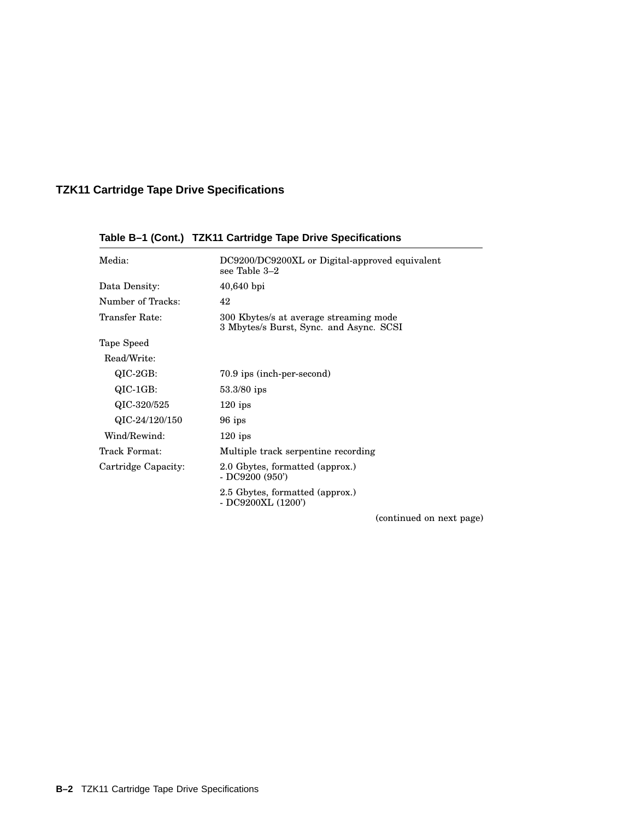| Media:              | DC9200/DC9200XL or Digital-approved equivalent<br>see Table 3-2                   |
|---------------------|-----------------------------------------------------------------------------------|
| Data Density:       | $40,640$ bpi                                                                      |
| Number of Tracks:   | 42                                                                                |
| Transfer Rate:      | 300 Kbytes/s at average streaming mode<br>3 Mbytes/s Burst, Sync. and Async. SCSI |
| Tape Speed          |                                                                                   |
| Read/Write:         |                                                                                   |
| $QIC-2GB$ :         | 70.9 ips (inch-per-second)                                                        |
| QIC-1GB:            | $53.3/80$ ips                                                                     |
| QIC-320/525         | $120$ ips                                                                         |
| QIC-24/120/150      | 96 ips                                                                            |
| Wind/Rewind:        | $120$ ips                                                                         |
| Track Format:       | Multiple track serpentine recording                                               |
| Cartridge Capacity: | 2.0 Gbytes, formatted (approx.)<br>$-$ DC9200 (950)                               |
|                     | 2.5 Gbytes, formatted (approx.)<br>- DC9200XL (1200')                             |

### **Table B–1 (Cont.) TZK11 Cartridge Tape Drive Specifications**

(continued on next page)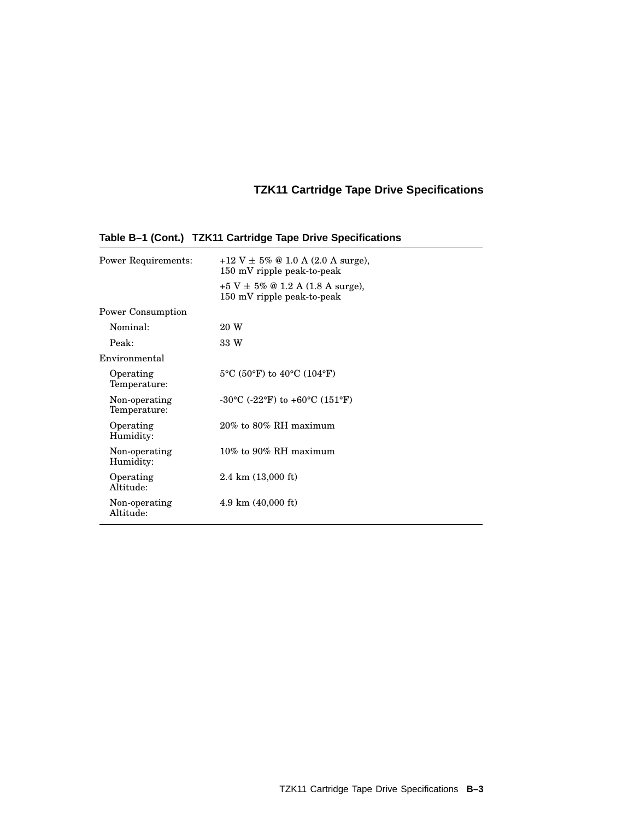| <b>Power Requirements:</b>    | $+12$ V $\pm$ 5% @ 1.0 A (2.0 A surge),<br>$150$ mV ripple peak-to-peak<br>$+5$ V $\pm$ 5% @ 1.2 A (1.8 A surge),<br>$150$ mV ripple peak-to-peak |
|-------------------------------|---------------------------------------------------------------------------------------------------------------------------------------------------|
| <b>Power Consumption</b>      |                                                                                                                                                   |
| Nominal:                      | 20 W                                                                                                                                              |
| Peak:                         | 33 W                                                                                                                                              |
| Environmental                 |                                                                                                                                                   |
| Operating<br>Temperature:     | $5^{\circ}$ C (50 $^{\circ}$ F) to 40 $^{\circ}$ C (104 $^{\circ}$ F)                                                                             |
| Non-operating<br>Temperature: | $-30^{\circ}$ C ( $-22^{\circ}$ F) to $+60^{\circ}$ C (151°F)                                                                                     |
| Operating<br>Humidity:        | 20% to 80% RH maximum                                                                                                                             |
| Non-operating<br>Humidity:    | $10\%$ to $90\%$ RH maximum                                                                                                                       |
| Operating<br>Altitude:        | $2.4 \text{ km } (13,000 \text{ ft})$                                                                                                             |
| Non-operating<br>Altitude:    | $4.9 \text{ km}$ (40,000 ft)                                                                                                                      |

### **Table B–1 (Cont.) TZK11 Cartridge Tape Drive Specifications**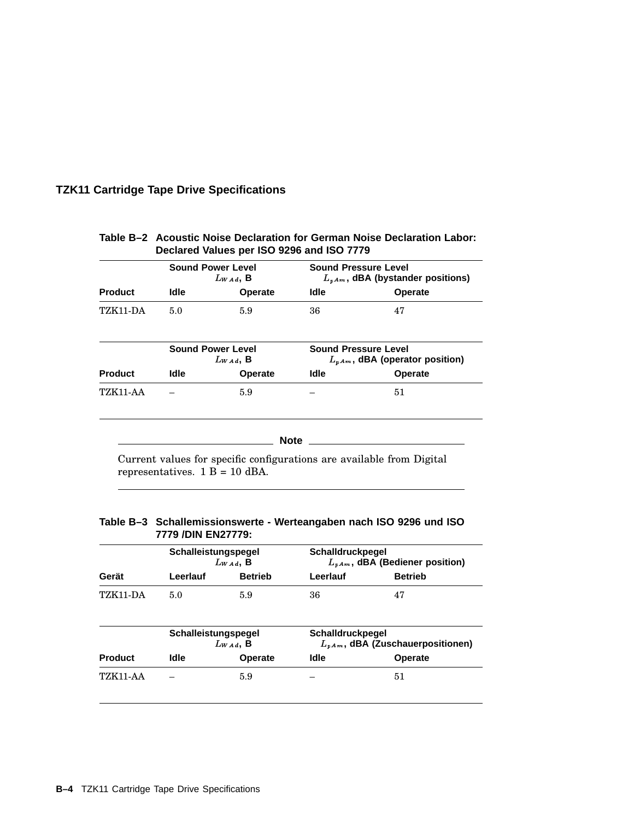| <b>Product</b> | <b>Sound Power Level</b><br>$L_{WAA}$ , B |                                           | <b>Sound Pressure Level</b><br>$L_{pAm}$ , dBA (bystander positions)  |         |
|----------------|-------------------------------------------|-------------------------------------------|-----------------------------------------------------------------------|---------|
|                | ldle                                      | <b>Operate</b>                            | Idle                                                                  | Operate |
| TZK11-DA       | 5.0                                       | 5.9                                       | 36                                                                    | 47      |
|                |                                           | <b>Sound Power Level</b><br>$L_{WAA}$ , B | <b>Sound Pressure Level</b><br>$L_{\nu Am}$ , dBA (operator position) |         |
| <b>Product</b> | Idle<br><b>Operate</b>                    |                                           | <b>Idle</b>                                                           | Operate |
| TZK11-AA       |                                           | 5.9                                       |                                                                       | 51      |
|                |                                           | <b>Note</b>                               |                                                                       |         |

#### **Table B–2 Acoustic Noise Declaration for German Noise Declaration Labor: Declared Values per ISO 9296 and ISO 7779**

Current values for specific configurations are available from Digital representatives. 1 B = 10 dBA.

#### **Table B–3 Schallemissionswerte - Werteangaben nach ISO 9296 und ISO 7779 /DIN EN27779:**

|                 | Schalleistungspegel<br>$L_{WAA}$ , B |                | Schalldruckpegel<br>$L_{\nu Am}$ , dBA (Bediener position) |                                        |
|-----------------|--------------------------------------|----------------|------------------------------------------------------------|----------------------------------------|
| Gerät           | Leerlauf                             | <b>Betrieb</b> | Leerlauf                                                   | <b>Betrieb</b>                         |
| TZK11-DA        | 5.0                                  | 5.9            | 36                                                         | 47                                     |
|                 | Schalleistungspegel<br>$L_{WAA}$ , B |                | Schalldruckpegel                                           | $L_{pA m}$ , dBA (Zuschauerpositionen) |
| <b>Product</b>  | <b>Idle</b>                          | <b>Operate</b> | <b>Idle</b>                                                | <b>Operate</b>                         |
| <b>TZK11-AA</b> |                                      | 5.9            |                                                            | 51                                     |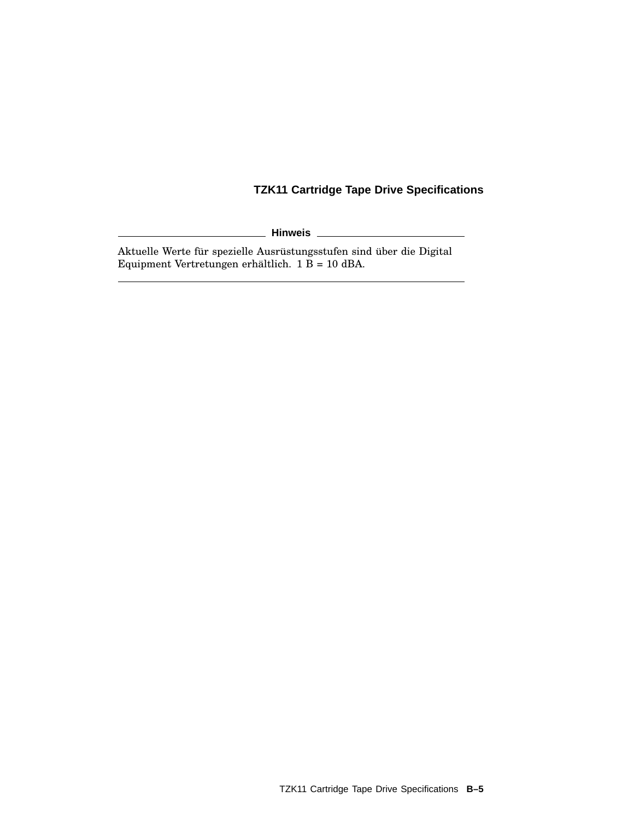**Hinweis**

Aktuelle Werte für spezielle Ausrüstungsstufen sind über die Digital Equipment Vertretungen erhältlich. 1 B = 10 dBA.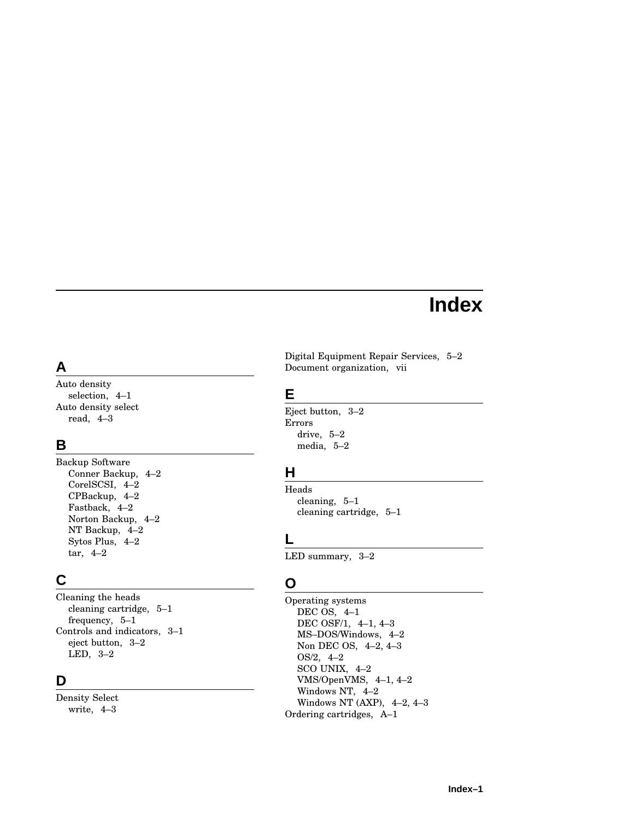# **Index**

# **A**

Auto density selection, 4–1 Auto density select read, 4–3

# **B**

Backup Software Conner Backup, 4–2 CorelSCSI, 4–2 CPBackup, 4–2 Fastback, 4–2 Norton Backup, 4–2 NT Backup, 4–2 Sytos Plus, 4–2 tar, 4–2

# **C**

Cleaning the heads cleaning cartridge, 5–1 frequency, 5–1 Controls and indicators, 3–1 eject button, 3–2 LED, 3–2

# **D**

Density Select write, 4–3

Digital Equipment Repair Services, 5–2 Document organization, vii

## **E**

Eject button, 3–2 Errors drive, 5–2 media, 5–2

# **H**

Heads cleaning, 5–1 cleaning cartridge, 5–1

# **L**

LED summary, 3–2

# **O**

Operating systems DEC OS, 4–1 DEC OSF/1, 4–1, 4–3 MS–DOS/Windows, 4–2 Non DEC OS, 4–2, 4–3 OS/2, 4–2 SCO UNIX, 4–2 VMS/OpenVMS, 4–1, 4–2 Windows NT, 4–2 Windows NT (AXP), 4–2, 4–3 Ordering cartridges, A–1